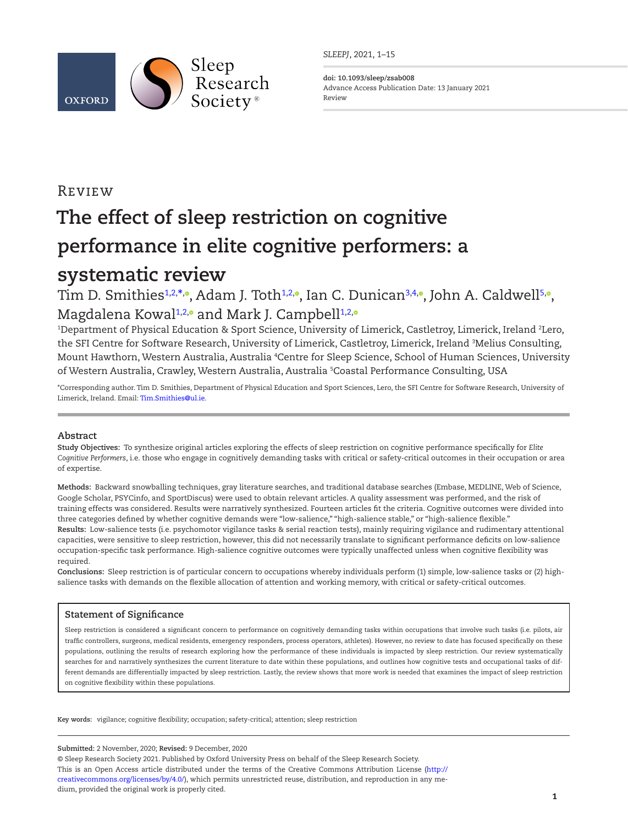

*SLEEPJ*, 2021, 1–15

**doi: 10.1093/sleep/zsab008** Advance Access Publication Date: 13 January 2021 Review

# Review

# **The effect of sleep restriction on cognitive performance in elite cognitive performers: a systematic review**

Tim D. Smithies<del>1[,2,](#page-0-1)[\\*](#page-0-2)[,](https://orcid.org/0000-0001-5281-0820)</del>., Adam J. Toth<sup>1,2,</sup>., Ian C. Dunican<sup>[3,](#page-0-3)[4](#page-0-4),</sup>., John A. Caldwell<sup>5,</sup>., Magdalena Kowal<sup>[1](#page-0-0)[,2](#page-0-1)[,](https://orcid.org/0000-0001-9607-7675)</sup> and Mark J. Campbell<sup>1,2,</sup>

<span id="page-0-4"></span><span id="page-0-3"></span><span id="page-0-1"></span><span id="page-0-0"></span>1 Department of Physical Education & Sport Science, University of Limerick, Castletroy, Limerick, Ireland 2 Lero, the SFI Centre for Software Research, University of Limerick, Castletroy, Limerick, Ireland 3 Melius Consulting, Mount Hawthorn, Western Australia, Australia 4 Centre for Sleep Science, School of Human Sciences, University of Western Australia, Crawley, Western Australia, Australia <sup>5</sup>Coastal Performance Consulting, USA

<span id="page-0-5"></span><span id="page-0-2"></span>\*Corresponding author. Tim D. Smithies, Department of Physical Education and Sport Sciences, Lero, the SFI Centre for Software Research, University of Limerick, Ireland. Email: [Tim.Smithies@ul.ie](mailto:Tim.Smithies@ul.ie?subject=).

# **Abstract**

**Study Objectives:** To synthesize original articles exploring the effects of sleep restriction on cognitive performance specifically for *Elite Cognitive Performers*, i.e. those who engage in cognitively demanding tasks with critical or safety-critical outcomes in their occupation or area of expertise.

**Methods:** Backward snowballing techniques, gray literature searches, and traditional database searches (Embase, MEDLINE, Web of Science, Google Scholar, PSYCinfo, and SportDiscus) were used to obtain relevant articles. A quality assessment was performed, and the risk of training effects was considered. Results were narratively synthesized. Fourteen articles fit the criteria. Cognitive outcomes were divided into three categories defined by whether cognitive demands were "low-salience," "high-salience stable," or "high-salience flexible." **Results:** Low-salience tests (i.e. psychomotor vigilance tasks & serial reaction tests), mainly requiring vigilance and rudimentary attentional capacities, were sensitive to sleep restriction, however, this did not necessarily translate to significant performance deficits on low-salience occupation-specific task performance. High-salience cognitive outcomes were typically unaffected unless when cognitive flexibility was required.

**Conclusions:** Sleep restriction is of particular concern to occupations whereby individuals perform (1) simple, low-salience tasks or (2) highsalience tasks with demands on the flexible allocation of attention and working memory, with critical or safety-critical outcomes.

# **Statement of Significance**

Sleep restriction is considered a significant concern to performance on cognitively demanding tasks within occupations that involve such tasks (i.e. pilots, air traffic controllers, surgeons, medical residents, emergency responders, process operators, athletes). However, no review to date has focused specifically on these populations, outlining the results of research exploring how the performance of these individuals is impacted by sleep restriction. Our review systematically searches for and narratively synthesizes the current literature to date within these populations, and outlines how cognitive tests and occupational tasks of different demands are differentially impacted by sleep restriction. Lastly, the review shows that more work is needed that examines the impact of sleep restriction on cognitive flexibility within these populations.

**Key words:** vigilance; cognitive flexibility; occupation; safety-critical; attention; sleep restriction

#### **Submitted:** 2 November, 2020; **Revised:** 9 December, 2020

© Sleep Research Society 2021. Published by Oxford University Press on behalf of the Sleep Research Society. This is an Open Access article distributed under the terms of the Creative Commons Attribution License ([http://](http://creativecommons.org/licenses/by/4.0/) [creativecommons.org/licenses/by/4.0/\)](http://creativecommons.org/licenses/by/4.0/), which permits unrestricted reuse, distribution, and reproduction in any medium, provided the original work is properly cited.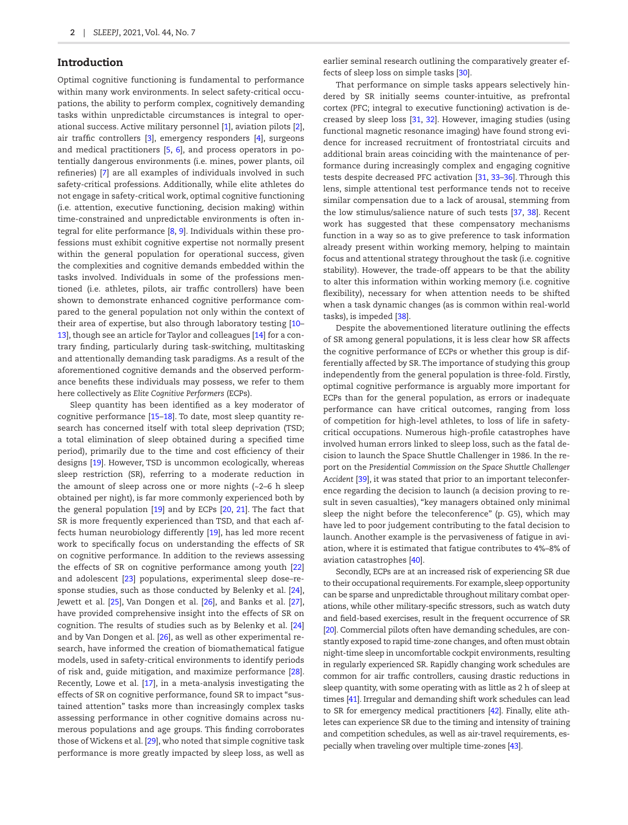# Introduction

Optimal cognitive functioning is fundamental to performance within many work environments. In select safety-critical occupations, the ability to perform complex, cognitively demanding tasks within unpredictable circumstances is integral to operational success. Active military personnel [[1\]](#page-12-0), aviation pilots [\[2\]](#page-12-1), air traffic controllers [[3\]](#page-12-2), emergency responders [\[4](#page-12-3)], surgeons and medical practitioners [[5,](#page-12-4) [6](#page-12-5)], and process operators in potentially dangerous environments (i.e. mines, power plants, oil refineries) [\[7](#page-12-6)] are all examples of individuals involved in such safety-critical professions. Additionally, while elite athletes do not engage in safety-critical work, optimal cognitive functioning (i.e. attention, executive functioning, decision making) within time-constrained and unpredictable environments is often integral for elite performance [\[8,](#page-12-7) [9](#page-12-8)]. Individuals within these professions must exhibit cognitive expertise not normally present within the general population for operational success, given the complexities and cognitive demands embedded within the tasks involved. Individuals in some of the professions mentioned (i.e. athletes, pilots, air traffic controllers) have been shown to demonstrate enhanced cognitive performance compared to the general population not only within the context of their area of expertise, but also through laboratory testing [[10–](#page-12-9) [13\]](#page-12-10), though see an article for Taylor and colleagues [[14\]](#page-12-11) for a contrary finding, particularly during task-switching, multitasking and attentionally demanding task paradigms. As a result of the aforementioned cognitive demands and the observed performance benefits these individuals may possess, we refer to them here collectively as *Elite Cognitive Performers* (ECPs).

Sleep quantity has been identified as a key moderator of cognitive performance [\[15](#page-12-12)[–18](#page-12-13)]. To date, most sleep quantity research has concerned itself with total sleep deprivation (TSD; a total elimination of sleep obtained during a specified time period), primarily due to the time and cost efficiency of their designs [[19](#page-12-14)]. However, TSD is uncommon ecologically, whereas sleep restriction (SR), referring to a moderate reduction in the amount of sleep across one or more nights  $(-2-6 h)$  sleep obtained per night), is far more commonly experienced both by the general population [[19](#page-12-14)] and by ECPs [\[20](#page-12-15), [21\]](#page-12-16). The fact that SR is more frequently experienced than TSD, and that each affects human neurobiology differently [[19\]](#page-12-14), has led more recent work to specifically focus on understanding the effects of SR on cognitive performance. In addition to the reviews assessing the effects of SR on cognitive performance among youth [\[22](#page-12-17)] and adolescent [\[23](#page-12-18)] populations, experimental sleep dose–response studies, such as those conducted by Belenky et al. [\[24\]](#page-13-0), Jewett et al. [[25](#page-13-1)], Van Dongen et al. [\[26\]](#page-13-2), and Banks et al. [\[27\]](#page-13-3), have provided comprehensive insight into the effects of SR on cognition. The results of studies such as by Belenky et al. [\[24](#page-13-0)] and by Van Dongen et al. [\[26\]](#page-13-2), as well as other experimental research, have informed the creation of biomathematical fatigue models, used in safety-critical environments to identify periods of risk and, guide mitigation, and maximize performance [\[28\]](#page-13-4). Recently, Lowe et al. [\[17](#page-12-19)], in a meta-analysis investigating the effects of SR on cognitive performance, found SR to impact "sustained attention" tasks more than increasingly complex tasks assessing performance in other cognitive domains across numerous populations and age groups. This finding corroborates those of Wickens et al. [[29](#page-13-5)], who noted that simple cognitive task performance is more greatly impacted by sleep loss, as well as

earlier seminal research outlining the comparatively greater effects of sleep loss on simple tasks [\[30\]](#page-13-6).

That performance on simple tasks appears selectively hindered by SR initially seems counter-intuitive, as prefrontal cortex (PFC; integral to executive functioning) activation is decreased by sleep loss [[31](#page-13-7), [32](#page-13-8)]. However, imaging studies (using functional magnetic resonance imaging) have found strong evidence for increased recruitment of frontostriatal circuits and additional brain areas coinciding with the maintenance of performance during increasingly complex and engaging cognitive tests despite decreased PFC activation [\[31,](#page-13-7) [33](#page-13-9)[–36](#page-13-10)]. Through this lens, simple attentional test performance tends not to receive similar compensation due to a lack of arousal, stemming from the low stimulus/salience nature of such tests [\[37](#page-13-11), [38\]](#page-13-12). Recent work has suggested that these compensatory mechanisms function in a way so as to give preference to task information already present within working memory, helping to maintain focus and attentional strategy throughout the task (i.e. cognitive stability). However, the trade-off appears to be that the ability to alter this information within working memory (i.e. cognitive flexibility), necessary for when attention needs to be shifted when a task dynamic changes (as is common within real-world tasks), is impeded [\[38](#page-13-12)].

Despite the abovementioned literature outlining the effects of SR among general populations, it is less clear how SR affects the cognitive performance of ECPs or whether this group is differentially affected by SR. The importance of studying this group independently from the general population is three-fold. Firstly, optimal cognitive performance is arguably more important for ECPs than for the general population, as errors or inadequate performance can have critical outcomes, ranging from loss of competition for high-level athletes, to loss of life in safetycritical occupations. Numerous high-profile catastrophes have involved human errors linked to sleep loss, such as the fatal decision to launch the Space Shuttle Challenger in 1986. In the report on the *Presidential Commission on the Space Shuttle Challenger Accident* [[39](#page-13-13)], it was stated that prior to an important teleconference regarding the decision to launch (a decision proving to result in seven casualties), "key managers obtained only minimal sleep the night before the teleconference" (p. G5), which may have led to poor judgement contributing to the fatal decision to launch. Another example is the pervasiveness of fatigue in aviation, where it is estimated that fatigue contributes to 4%–8% of aviation catastrophes [\[40\]](#page-13-14).

Secondly, ECPs are at an increased risk of experiencing SR due to their occupational requirements. For example, sleep opportunity can be sparse and unpredictable throughout military combat operations, while other military-specific stressors, such as watch duty and field-based exercises, result in the frequent occurrence of SR [\[20\]](#page-12-15). Commercial pilots often have demanding schedules, are constantly exposed to rapid time-zone changes, and often must obtain night-time sleep in uncomfortable cockpit environments, resulting in regularly experienced SR. Rapidly changing work schedules are common for air traffic controllers, causing drastic reductions in sleep quantity, with some operating with as little as 2 h of sleep at times [\[41\]](#page-13-15). Irregular and demanding shift work schedules can lead to SR for emergency medical practitioners [\[42](#page-13-16)]. Finally, elite athletes can experience SR due to the timing and intensity of training and competition schedules, as well as air-travel requirements, especially when traveling over multiple time-zones [\[43\]](#page-13-17).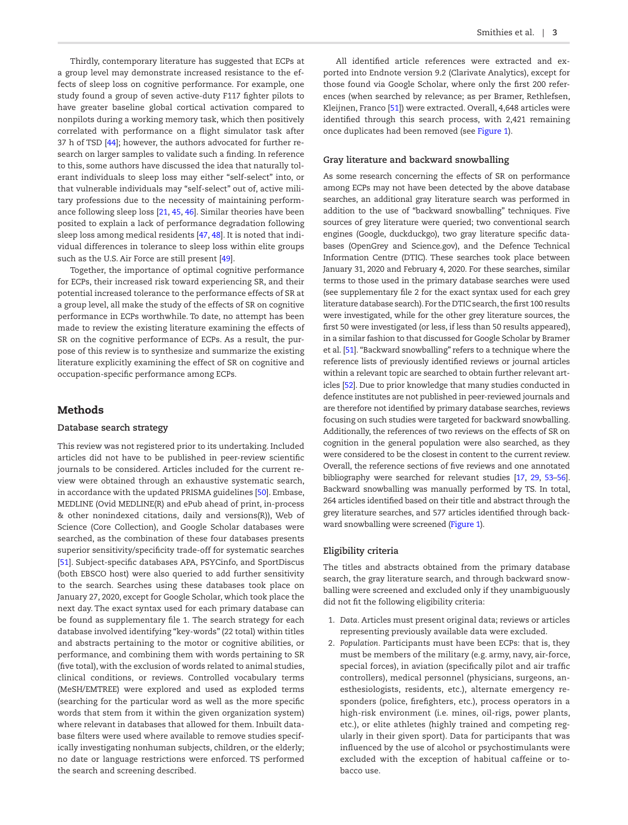Thirdly, contemporary literature has suggested that ECPs at a group level may demonstrate increased resistance to the effects of sleep loss on cognitive performance. For example, one study found a group of seven active-duty F117 fighter pilots to have greater baseline global cortical activation compared to nonpilots during a working memory task, which then positively correlated with performance on a flight simulator task after 37 h of TSD [[44](#page-13-18)]; however, the authors advocated for further research on larger samples to validate such a finding. In reference to this, some authors have discussed the idea that naturally tolerant individuals to sleep loss may either "self-select" into, or that vulnerable individuals may "self-select" out of, active military professions due to the necessity of maintaining performance following sleep loss [[21](#page-12-16), [45,](#page-13-19) [46\]](#page-13-20). Similar theories have been posited to explain a lack of performance degradation following sleep loss among medical residents [[47](#page-13-21), [48](#page-13-22)]. It is noted that individual differences in tolerance to sleep loss within elite groups such as the U.S. Air Force are still present [\[49\]](#page-13-23).

Together, the importance of optimal cognitive performance for ECPs, their increased risk toward experiencing SR, and their potential increased tolerance to the performance effects of SR at a group level, all make the study of the effects of SR on cognitive performance in ECPs worthwhile. To date, no attempt has been made to review the existing literature examining the effects of SR on the cognitive performance of ECPs. As a result, the purpose of this review is to synthesize and summarize the existing literature explicitly examining the effect of SR on cognitive and occupation-specific performance among ECPs.

## Methods

#### **Database search strategy**

This review was not registered prior to its undertaking. Included articles did not have to be published in peer-review scientific journals to be considered. Articles included for the current review were obtained through an exhaustive systematic search, in accordance with the updated PRISMA guidelines [\[50\]](#page-13-24). Embase, MEDLINE (Ovid MEDLINE(R) and ePub ahead of print, in-process & other nonindexed citations, daily and versions(R)), Web of Science (Core Collection), and Google Scholar databases were searched, as the combination of these four databases presents superior sensitivity/specificity trade-off for systematic searches [[51](#page-13-25)]. Subject-specific databases APA, PSYCinfo, and SportDiscus (both EBSCO host) were also queried to add further sensitivity to the search. Searches using these databases took place on January 27, 2020, except for Google Scholar, which took place the next day. The exact syntax used for each primary database can be found as supplementary file 1. The search strategy for each database involved identifying "key-words" (22 total) within titles and abstracts pertaining to the motor or cognitive abilities, or performance, and combining them with words pertaining to SR (five total), with the exclusion of words related to animal studies, clinical conditions, or reviews. Controlled vocabulary terms (MeSH/EMTREE) were explored and used as exploded terms (searching for the particular word as well as the more specific words that stem from it within the given organization system) where relevant in databases that allowed for them. Inbuilt database filters were used where available to remove studies specifically investigating nonhuman subjects, children, or the elderly; no date or language restrictions were enforced. TS performed the search and screening described.

All identified article references were extracted and exported into Endnote version 9.2 (Clarivate Analytics), except for those found via Google Scholar, where only the first 200 references (when searched by relevance; as per Bramer, Rethlefsen, Kleijnen, Franco [\[51\]](#page-13-25)) were extracted. Overall, 4,648 articles were identified through this search process, with 2,421 remaining once duplicates had been removed (see [Figure 1](#page-3-0)).

# **Gray literature and backward snowballing**

As some research concerning the effects of SR on performance among ECPs may not have been detected by the above database searches, an additional gray literature search was performed in addition to the use of "backward snowballing" techniques. Five sources of grey literature were queried; two conventional search engines (Google, duckduckgo), two gray literature specific databases (OpenGrey and Science.gov), and the Defence Technical Information Centre (DTIC). These searches took place between January 31, 2020 and February 4, 2020. For these searches, similar terms to those used in the primary database searches were used (see supplementary file 2 for the exact syntax used for each grey literature database search). For the DTIC search, the first 100 results were investigated, while for the other grey literature sources, the first 50 were investigated (or less, if less than 50 results appeared), in a similar fashion to that discussed for Google Scholar by Bramer et al. [[51\]](#page-13-25). "Backward snowballing" refers to a technique where the reference lists of previously identified reviews or journal articles within a relevant topic are searched to obtain further relevant articles [\[52](#page-13-26)]. Due to prior knowledge that many studies conducted in defence institutes are not published in peer-reviewed journals and are therefore not identified by primary database searches, reviews focusing on such studies were targeted for backward snowballing. Additionally, the references of two reviews on the effects of SR on cognition in the general population were also searched, as they were considered to be the closest in content to the current review. Overall, the reference sections of five reviews and one annotated bibliography were searched for relevant studies [[17,](#page-12-19) [29](#page-13-5), [53–](#page-13-27)[56\]](#page-13-28). Backward snowballing was manually performed by TS. In total, 264 articles identified based on their title and abstract through the grey literature searches, and 577 articles identified through backward snowballing were screened ([Figure 1\)](#page-3-0).

#### **Eligibility criteria**

The titles and abstracts obtained from the primary database search, the gray literature search, and through backward snowballing were screened and excluded only if they unambiguously did not fit the following eligibility criteria:

- 1. *Data.* Articles must present original data; reviews or articles representing previously available data were excluded.
- 2. *Population.* Participants must have been ECPs: that is, they must be members of the military (e.g. army, navy, air-force, special forces), in aviation (specifically pilot and air traffic controllers), medical personnel (physicians, surgeons, anesthesiologists, residents, etc.), alternate emergency responders (police, firefighters, etc.), process operators in a high-risk environment (i.e. mines, oil-rigs, power plants, etc.), or elite athletes (highly trained and competing regularly in their given sport). Data for participants that was influenced by the use of alcohol or psychostimulants were excluded with the exception of habitual caffeine or tobacco use.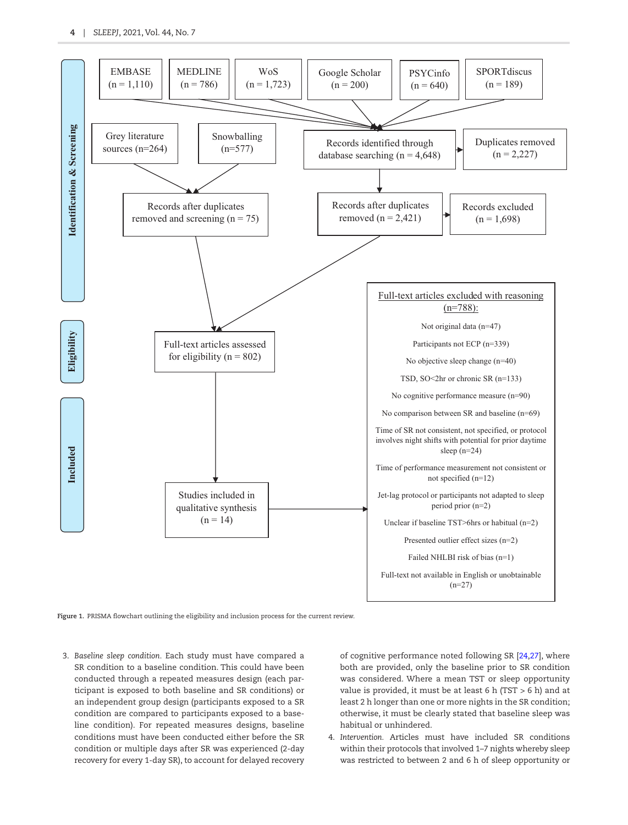

<span id="page-3-0"></span>**Figure 1.** PRISMA flowchart outlining the eligibility and inclusion process for the current review.

3. *Baseline sleep condition.* Each study must have compared a SR condition to a baseline condition. This could have been conducted through a repeated measures design (each participant is exposed to both baseline and SR conditions) or an independent group design (participants exposed to a SR condition are compared to participants exposed to a baseline condition). For repeated measures designs, baseline conditions must have been conducted either before the SR condition or multiple days after SR was experienced (2-day recovery for every 1-day SR), to account for delayed recovery

of cognitive performance noted following SR [\[24,](#page-13-0)[27](#page-13-3)], where both are provided, only the baseline prior to SR condition was considered. Where a mean TST or sleep opportunity value is provided, it must be at least 6 h (TST > 6 h) and at least 2 h longer than one or more nights in the SR condition; otherwise, it must be clearly stated that baseline sleep was habitual or unhindered.

4. *Intervention.* Articles must have included SR conditions within their protocols that involved 1–7 nights whereby sleep was restricted to between 2 and 6 h of sleep opportunity or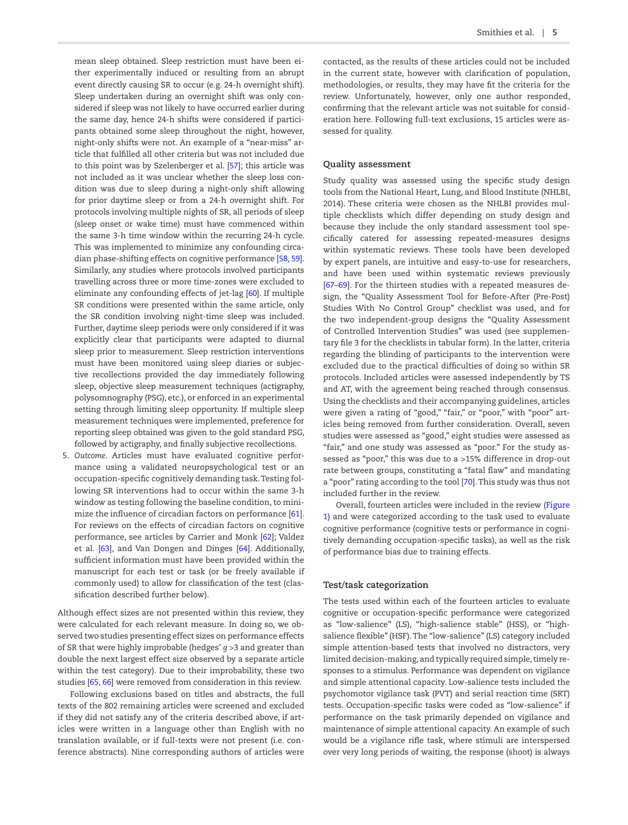mean sleep obtained. Sleep restriction must have been either experimentally induced or resulting from an abrupt event directly causing SR to occur (e.g. 24-h overnight shift). Sleep undertaken during an overnight shift was only considered if sleep was not likely to have occurred earlier during the same day, hence 24-h shifts were considered if participants obtained some sleep throughout the night, however, night-only shifts were not. An example of a "near-miss" article that fulfilled all other criteria but was not included due to this point was by Szelenberger et al. [[57](#page-13-29)]; this article was not included as it was unclear whether the sleep loss condition was due to sleep during a night-only shift allowing for prior daytime sleep or from a 24-h overnight shift. For protocols involving multiple nights of SR, all periods of sleep (sleep onset or wake time) must have commenced within the same 3-h time window within the recurring 24-h cycle. This was implemented to minimize any confounding circadian phase-shifting effects on cognitive performance [[58,](#page-13-30) [59\]](#page-13-31). Similarly, any studies where protocols involved participants travelling across three or more time-zones were excluded to eliminate any confounding effects of jet-lag [[60\]](#page-13-32). If multiple SR conditions were presented within the same article, only the SR condition involving night-time sleep was included. Further, daytime sleep periods were only considered if it was explicitly clear that participants were adapted to diurnal sleep prior to measurement. Sleep restriction interventions must have been monitored using sleep diaries or subjective recollections provided the day immediately following

sleep, objective sleep measurement techniques (actigraphy, polysomnography (PSG), etc.), or enforced in an experimental setting through limiting sleep opportunity. If multiple sleep measurement techniques were implemented, preference for reporting sleep obtained was given to the gold standard PSG, followed by actigraphy, and finally subjective recollections.

5. *Outcome*. Articles must have evaluated cognitive performance using a validated neuropsychological test or an occupation-specific cognitively demanding task. Testing following SR interventions had to occur within the same 3-h window as testing following the baseline condition, to minimize the influence of circadian factors on performance [\[61\]](#page-13-33). For reviews on the effects of circadian factors on cognitive performance, see articles by Carrier and Monk [\[62\]](#page-13-34); Valdez et al. [[63\]](#page-13-35), and Van Dongen and Dinges [[64\]](#page-13-36). Additionally, sufficient information must have been provided within the manuscript for each test or task (or be freely available if commonly used) to allow for classification of the test (classification described further below).

Although effect sizes are not presented within this review, they were calculated for each relevant measure. In doing so, we observed two studies presenting effect sizes on performance effects of SR that were highly improbable (hedges' *g* >3 and greater than double the next largest effect size observed by a separate article within the test category). Due to their improbability, these two studies [\[65,](#page-13-37) [66\]](#page-14-0) were removed from consideration in this review.

Following exclusions based on titles and abstracts, the full texts of the 802 remaining articles were screened and excluded if they did not satisfy any of the criteria described above, if articles were written in a language other than English with no translation available, or if full-texts were not present (i.e. conference abstracts). Nine corresponding authors of articles were contacted, as the results of these articles could not be included in the current state, however with clarification of population, methodologies, or results, they may have fit the criteria for the review. Unfortunately, however, only one author responded, confirming that the relevant article was not suitable for consideration here. Following full-text exclusions, 15 articles were assessed for quality.

## **Quality assessment**

Study quality was assessed using the specific study design tools from the National Heart, Lung, and Blood Institute (NHLBI, 2014). These criteria were chosen as the NHLBI provides multiple checklists which differ depending on study design and because they include the only standard assessment tool specifically catered for assessing repeated-measures designs within systematic reviews. These tools have been developed by expert panels, are intuitive and easy-to-use for researchers, and have been used within systematic reviews previously [\[67](#page-14-1)[–69\]](#page-14-2). For the thirteen studies with a repeated measures design, the "Quality Assessment Tool for Before-After (Pre-Post) Studies With No Control Group" checklist was used, and for the two independent-group designs the "Quality Assessment of Controlled Intervention Studies" was used (see supplementary file 3 for the checklists in tabular form). In the latter, criteria regarding the blinding of participants to the intervention were excluded due to the practical difficulties of doing so within SR protocols. Included articles were assessed independently by TS and AT, with the agreement being reached through consensus. Using the checklists and their accompanying guidelines, articles were given a rating of "good," "fair," or "poor," with "poor" articles being removed from further consideration. Overall, seven studies were assessed as "good," eight studies were assessed as "fair," and one study was assessed as "poor." For the study assessed as "poor," this was due to a >15% difference in drop-out rate between groups, constituting a "fatal flaw" and mandating a "poor" rating according to the tool [[70](#page-14-3)]. This study was thus not included further in the review.

Overall, fourteen articles were included in the review [\(Figure](#page-3-0)  [1\)](#page-3-0) and were categorized according to the task used to evaluate cognitive performance (cognitive tests or performance in cognitively demanding occupation-specific tasks), as well as the risk of performance bias due to training effects.

# **Test/task categorization**

The tests used within each of the fourteen articles to evaluate cognitive or occupation-specific performance were categorized as "low-salience" (LS), "high-salience stable" (HSS), or "highsalience flexible" (HSF). The "low-salience" (LS) category included simple attention-based tests that involved no distractors, very limited decision-making, and typically required simple, timely responses to a stimulus. Performance was dependent on vigilance and simple attentional capacity. Low-salience tests included the psychomotor vigilance task (PVT) and serial reaction time (SRT) tests. Occupation-specific tasks were coded as "low-salience" if performance on the task primarily depended on vigilance and maintenance of simple attentional capacity. An example of such would be a vigilance rifle task, where stimuli are interspersed over very long periods of waiting, the response (shoot) is always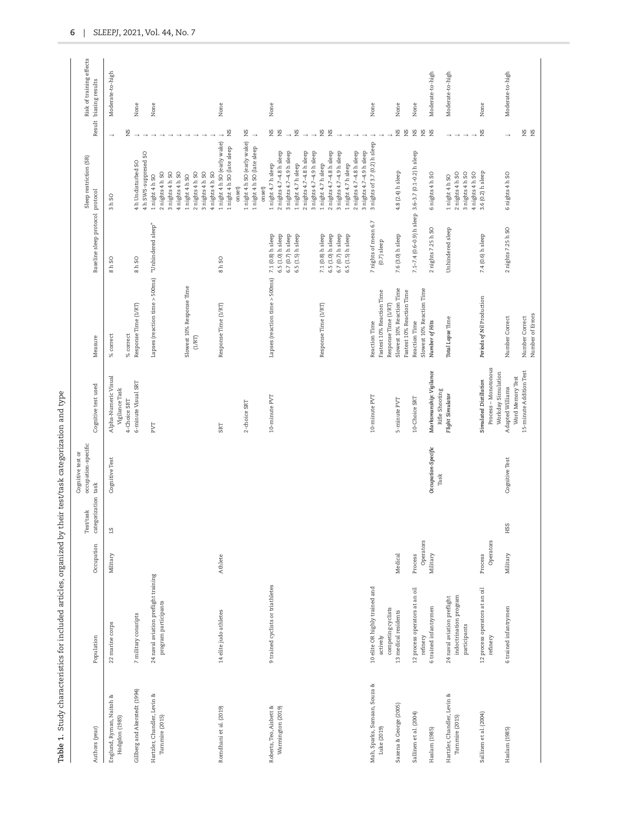| Authors (year)                                 | Population                                                            | Occupation | categorization task<br>Test/task | occupation-specific<br>Cognitive test or | Cognitive test used                         | Measure                                           | Baseline sleep protocol protocol       | Sleep restriction (SR)                                                  |                        | Risk of training effects<br>Result biasing results |
|------------------------------------------------|-----------------------------------------------------------------------|------------|----------------------------------|------------------------------------------|---------------------------------------------|---------------------------------------------------|----------------------------------------|-------------------------------------------------------------------------|------------------------|----------------------------------------------------|
| Englund, Ryman, Naitoh &<br>Hodgdon (1985)     | 22 marine corps                                                       | Military   | 51                               | Cognitive Test                           | Alpha-Numeric Visual<br>Vigilance Task      | % correct                                         | 8 h SO                                 | 3 h SO                                                                  | $\rightarrow$          | Moderate-to-high                                   |
|                                                |                                                                       |            |                                  |                                          | 4-Choice SRT                                | % correct                                         |                                        |                                                                         | SN                     |                                                    |
| Gillberg and Akerstedt (1994)                  | 7 military consripts                                                  |            |                                  |                                          | 6-minute Visual SRT                         | Response Time (1/RT)                              | 8h SO                                  | 4 h SWS-suppresed SO<br>4h Undisturbed SO                               |                        | None                                               |
| Hartzler, Chandler, Levin &<br>Turnmire (2015) | 24 naval aviation preflight training<br>program participants          |            |                                  |                                          | PVT                                         | Lapses (reaction time > 500ms) "Unhindered sleep" |                                        | 3 nights 4 h SO<br>4 nights 4 h SO<br>2 nights 4 h SO<br>1 night 4 h SO |                        | None                                               |
|                                                |                                                                       |            |                                  |                                          |                                             | Slowest 10% Response Time                         |                                        | 1 night 4 h SO                                                          |                        |                                                    |
|                                                |                                                                       |            |                                  |                                          |                                             | (1/RT)                                            |                                        | $2$ nights $4 h$ SO<br>3 nights 4 h SO<br>4 nights 4 h SO               |                        |                                                    |
| Romdhani et al. (2019)                         | 14 elite judo athletes                                                | Athlete    |                                  |                                          | <b>SRT</b>                                  | Response Time (1/RT)                              | 8h SO                                  | 1 night 4 h SO (early wake)<br>1 night 4 h SO (late sleep<br>onset)     | ΣN                     | None                                               |
|                                                |                                                                       |            |                                  |                                          | 2-choice SRT                                |                                                   |                                        | 1 night 4 h SO (early wake)<br>1 night 4 h SO (late sleep<br>onset)     | g<br>$\longrightarrow$ |                                                    |
| Roberts, Teo, Aisbett &                        | 9 trained cyclists or triathletes                                     |            |                                  |                                          | 10-minute PVI                               | Lapses (reaction time > 500ms)                    | 7.1 (0.8) h sleep                      | 1 night 4.7 h sleep                                                     |                        | None                                               |
| Warmington (2019)                              |                                                                       |            |                                  |                                          |                                             |                                                   | 6.5 (1.0) h sleep<br>6.7 (0.7) h sleep | 2 nights 4.7-4.8 h sleep<br>3 nights 4.7-4.9 h sleep                    | S X<br>$\rightarrow$   |                                                    |
|                                                |                                                                       |            |                                  |                                          |                                             |                                                   | 6.5 (1.5) h sleep                      | 1 night 4.7 h sleep                                                     | Σă                     |                                                    |
|                                                |                                                                       |            |                                  |                                          |                                             |                                                   |                                        | 2 nights 4.7-4.8 h sleep                                                | $\rightarrow$          |                                                    |
|                                                |                                                                       |            |                                  |                                          |                                             |                                                   |                                        | 3 nights 4.7-4.9 h sleep                                                |                        |                                                    |
|                                                |                                                                       |            |                                  |                                          |                                             | Response Time (1/RT)                              | 7.1 (0.8) h sleep                      | 1 night 4.7 h sleep                                                     | $\mathop{\Xi}\limits$  |                                                    |
|                                                |                                                                       |            |                                  |                                          |                                             |                                                   | 6.5 (1.0) h sleep                      | 2 nights 4.7-4.8 h sleep                                                | Σ                      |                                                    |
|                                                |                                                                       |            |                                  |                                          |                                             |                                                   | 6.7 (0.7) h sleep<br>6.5 (1.5) h sleep | 3 nights 4.7-4.9 h sleep<br>1 night 4.7 h sleep                         |                        |                                                    |
|                                                |                                                                       |            |                                  |                                          |                                             |                                                   |                                        | 2 nights 4.7-4.8 h sleep                                                |                        |                                                    |
|                                                |                                                                       |            |                                  |                                          |                                             |                                                   |                                        | 3 nights 4.7-4.9 h sleep                                                |                        |                                                    |
| Mah, Sparks, Samaan, Souza &                   | 10 elite OR highly trained and                                        |            |                                  |                                          | 10-minute PVT                               | Reaction Time                                     | 7 nights of mean 6.7                   | 3 nights of 3.7 (0.2) h sleep                                           |                        | None                                               |
| Luke (2019)                                    | competing cyclists<br>actively                                        |            |                                  |                                          |                                             | Fastest 10% Reaction Time<br>Response Time (1/RT) | $(0.7)$ sleep                          |                                                                         |                        |                                                    |
| Saxena & George (2005)                         | 13 medical residents                                                  | Medical    |                                  |                                          | 5-minute PVT                                | Slowest 10% Reaction Time                         | 7.6 (3.0) h sleep                      | 4.8 (2.4) h sleep                                                       | SN<br>ΣÑ               | None                                               |
| Sallinen et al. (2004)                         | 12 process operators at an oil                                        | Process    |                                  |                                          | 10-Choice SRT                               | Fastest 10% Reaction Time<br>Reaction Time        |                                        | 7.1-7.4 (0.6-0.9) h sleep 3.6-3.7 (0.1-0.2) h sleep                     | Σ                      | None                                               |
|                                                | refinery                                                              | Operators  |                                  |                                          |                                             | Slowest 10% Reaction Time                         |                                        |                                                                         | SN                     |                                                    |
| Haslam (1985)                                  | 6 trained infantrymen                                                 | Military   |                                  | Occupation-Specific<br>Task              | Marksmanship: Vigilance<br>Rifle Shooting   | Number of Hits                                    | 2 nights 7.25 h SO                     | 6 nights 4 h SO                                                         | Σď                     | Moderate-to-high                                   |
| Hartzler, Chandler, Levin &<br>Turnmire (2015) | indoctrination program<br>24 naval aviation preflight<br>participants |            |                                  |                                          | Flight Simulator                            | Total Lapse Time                                  | Unhindered sleep                       | 2 nights 4 h SO<br>3 nights 4 h SO<br>$1$ night $4h$ SO                 |                        | Moderate-to-high                                   |
|                                                | 12 process operators at an oil                                        | Process    |                                  |                                          | Simulated Distillation                      | Periods of Nil Production                         |                                        | 3.6 (0.2) h sleep<br>4 nights 4 h SO                                    | SX                     |                                                    |
| Sallinen et al. (2004)                         | refinery                                                              | Operators  |                                  |                                          | Process - Monotonous<br>Workday Simulation  |                                                   | 7.4 (0.6) h sleep                      |                                                                         |                        | None                                               |
| Haslam (1985)                                  | 6 trained infantrymen                                                 | Military   | <b>HSS</b>                       | Cognitive Test                           | Adapted Williams                            | Number Correct                                    | 2 nights 7.25 h SO                     | 6 nights 4 h SO                                                         |                        | Moderate-to-high                                   |
|                                                |                                                                       |            |                                  |                                          | 15-minute Addition Test<br>Word Memory Test | Number Correct                                    |                                        |                                                                         | SN                     |                                                    |

Number of Errors

Number of Errors

**SZ** 

<span id="page-5-0"></span>Table 1. Study characteristics for included articles, organized by their test/task categorization and type **Table 1.** Study characteristics for included articles, organized by their test/task categorization and type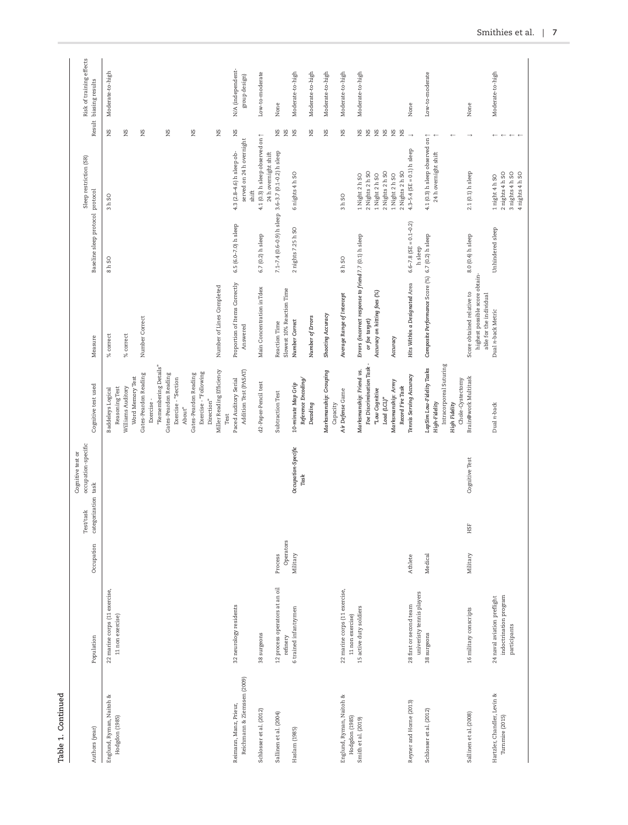| г<br>Ĩ.<br>ċ |  |
|--------------|--|
|              |  |
| Ξ<br>۰.      |  |

| Authors (year)                             | Population                                        | Occupation | categorization task<br>Test/task | occupation-specific<br>Cognitive test or | Cognitive test used                                          | Measure                                                   | Baseline sleep protocol protocol | Sleep restriction (SR)                                                            |                           | Risk of training effects<br>Result biasing results |
|--------------------------------------------|---------------------------------------------------|------------|----------------------------------|------------------------------------------|--------------------------------------------------------------|-----------------------------------------------------------|----------------------------------|-----------------------------------------------------------------------------------|---------------------------|----------------------------------------------------|
| Englund, Ryman, Naitoh &<br>Hodgdon (1985) | 22 marine corps (11 exercise,                     |            |                                  |                                          | <b>Baddeleys</b> Logical                                     | % correct                                                 | 8h SO                            | 3 h SO                                                                            | SN                        | Moderate-to-high                                   |
|                                            | 11 non exercise)                                  |            |                                  |                                          | Williams Auditory<br>Reasoning Test                          | % correct                                                 |                                  |                                                                                   | Σď                        |                                                    |
|                                            |                                                   |            |                                  |                                          | Gates-Peardon Reading<br>Word Memory Test                    | Number Correct                                            |                                  |                                                                                   | SN                        |                                                    |
|                                            |                                                   |            |                                  |                                          | Exercise-                                                    |                                                           |                                  |                                                                                   |                           |                                                    |
|                                            |                                                   |            |                                  |                                          | "Remembering Details"                                        |                                                           |                                  |                                                                                   |                           |                                                    |
|                                            |                                                   |            |                                  |                                          | Gates-Peardon Reading                                        |                                                           |                                  |                                                                                   | SN                        |                                                    |
|                                            |                                                   |            |                                  |                                          | Exercise - "Section<br>About"                                |                                                           |                                  |                                                                                   |                           |                                                    |
|                                            |                                                   |            |                                  |                                          | Gates-Peardon Reading                                        |                                                           |                                  |                                                                                   | SN                        |                                                    |
|                                            |                                                   |            |                                  |                                          | Exercise - "Following                                        |                                                           |                                  |                                                                                   |                           |                                                    |
|                                            |                                                   |            |                                  |                                          | Direction"                                                   |                                                           |                                  |                                                                                   |                           |                                                    |
|                                            |                                                   |            |                                  |                                          | Miller Reading Efficiency<br>Test                            | Number of Lines Completed                                 |                                  |                                                                                   | SK                        |                                                    |
| Reimann, Manz, Prieur,                     | 32 neurology residents                            |            |                                  |                                          | Paced Auditory Serial                                        | Proportion of Items Correctly                             | 6.5 (6.0-7.0) h sleep            | 4.3 (2.8-4.6) h sleep ob-                                                         | SX                        | N/A (independent-                                  |
| Reichmann & Ziemssen (2009)                |                                                   |            |                                  |                                          | Addition Test (PASAT)                                        | Answered                                                  |                                  | served on 24 h overnight<br>shift                                                 |                           | group design)                                      |
| Schlosser et al. (2012)                    | 38 surgeons                                       |            |                                  |                                          | d2-Paper-Pencil test                                         | Main Concentration inTdex                                 | 6.7 (0.2) h sleep                | 4.1 (0.3) h sleep observed<br>24 h overnight shift                                | on $\uparrow$             | Low-to-moderate                                    |
| Sallinen et al. (2004)                     | 12 process operators at an oil                    | Process    |                                  |                                          | Subtraction Test                                             | Reaction Time                                             |                                  | 7.1-7.4 (0.6-0.9) h sleep 3.6-3.7 (0.1-0.2) h sleep                               | SK                        | None                                               |
|                                            | refinery                                          | Operators  |                                  |                                          |                                                              | Slowest 10% Reaction Time                                 |                                  |                                                                                   | gN                        |                                                    |
| Haslam (1985)                              | 6 trained infantrymen                             | Military   |                                  | Occupation-Specific                      | 10-minute Map Grip                                           | Number Correct                                            | 2 nights 7.25 h SO               | 6 nights 4 h SO                                                                   | Σď                        | Moderate-to-high                                   |
|                                            |                                                   |            |                                  | Task                                     | Reference Encoding/                                          |                                                           |                                  |                                                                                   |                           |                                                    |
|                                            |                                                   |            |                                  |                                          | Decoding                                                     | Number of Errors                                          |                                  |                                                                                   | SN                        | Moderate-to-high                                   |
|                                            |                                                   |            |                                  |                                          | Marksmanship: Grouping<br>Capacity                           | Shooting Accuracy                                         |                                  |                                                                                   | SK                        | Moderate-to-high                                   |
| Englund, Ryman, Naitoh &<br>Hodgdon (1985) | 22 marine corps (11 exercise,<br>11 non exercise) |            |                                  |                                          | Air Defense Game                                             | Average Range of Intercept                                | 8 h SO                           | 3hS0                                                                              | SN                        | Moderate-to-high                                   |
| Smith et al. (2019)                        | 15 active duty soldiers                           |            |                                  |                                          | Marksmanship: Friend vs.                                     | Errors (incorrect response to friend 7.7 (0.1) h sleep    |                                  | 1 Night 2 h SO                                                                    | E <sub>S</sub>            | Moderate-to-high                                   |
|                                            |                                                   |            |                                  |                                          | Foe Discrimination Task                                      | or foe target)                                            |                                  | 2 Nights 2 h SO                                                                   |                           |                                                    |
|                                            |                                                   |            |                                  |                                          | "Low Cognitive                                               | Accuracy on hitting foes (%)                              |                                  | 1 Night 2 h SO                                                                    | SN                        |                                                    |
|                                            |                                                   |            |                                  |                                          | Load $(LCL)^n$                                               |                                                           |                                  | 2 Nights 2 h SO                                                                   | gN                        |                                                    |
|                                            |                                                   |            |                                  |                                          | Marksmanship: Army<br>Record Fire Task                       | Accuracy                                                  |                                  | 2 Nights 2 h SO<br>1 Night 2 h SO                                                 | Σ<br>SN                   |                                                    |
| Reyner and Horne (2013)                    | 28 first or second team                           | Athlete    |                                  |                                          | Tennis Serving Accuracy                                      | Hits Within a Designated Area                             | $6.6 - 7.8$ (SE = 0.1-0.2)       | 4.3-5.4 (SE = $0.1$ ) h sleep                                                     | $\rightarrow$             | None                                               |
| Schlosser et al. (2012)                    | univeristy tennis players<br>38 surgeons          | Medical    |                                  |                                          | LapSim Low-Fidelity Tasks                                    | Composite Performance Score (%) 6.7 (0.2) h sleep         | h sleep                          | 4.1 (0.3) h sleep observed on $\uparrow$                                          |                           | Low-to-moderate                                    |
|                                            |                                                   |            |                                  |                                          | High-Fidelity                                                |                                                           |                                  | 24 h overnight shift                                                              |                           |                                                    |
|                                            |                                                   |            |                                  |                                          | Intracorporeal Suturing<br>Chole-Cystectomy<br>High Fidelity |                                                           |                                  |                                                                                   |                           |                                                    |
| Sallinen et al. (2008)                     | 16 military conscripts                            | Military   | ESE                              | Cognitive Test                           | Brain@work Multitask                                         | Score obtained relative to                                | 8.0 (0.4) h sleep                | 2.1 (0.1) h sleep                                                                 |                           | None                                               |
|                                            |                                                   |            |                                  |                                          |                                                              | highest possible score obtain-<br>able for the individual |                                  |                                                                                   |                           |                                                    |
| Hartzler, Chandler, Levin &                | 24 naval aviation preflight                       |            |                                  |                                          | Dual n-back                                                  | Dual n-back Metric                                        | Unhindered sleep                 | 1 night 4 h SO                                                                    |                           | Moderate-to-high                                   |
| Turnmire (2015)                            | indoctrination program                            |            |                                  |                                          |                                                              |                                                           |                                  | 2 nights 4 h SO                                                                   |                           |                                                    |
|                                            | participants                                      |            |                                  |                                          |                                                              |                                                           |                                  | $\begin{array}{c} 3 \text{ nights 4 h SO} \\ 4 \text{ nights 4 h SO} \end{array}$ | $\leftarrow$ $\leftarrow$ |                                                    |
|                                            |                                                   |            |                                  |                                          |                                                              |                                                           |                                  |                                                                                   |                           |                                                    |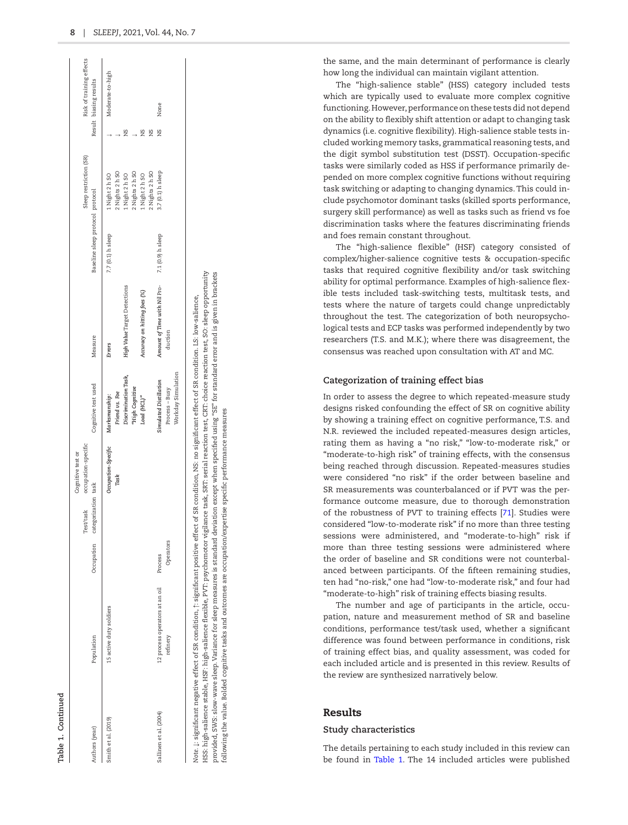| ſ |
|---|
|   |
|   |
|   |

| Authors (year)         | Population                                 | Occupation           | occupation-specific<br>Cognitive test or<br>categorization task<br>Test/task | Cognitive test used                     | Measure                                 | Baseline sleep protocol protocol | Sleep restriction (SR)                     |        | Risk of training effects<br>Result biasing results |
|------------------------|--------------------------------------------|----------------------|------------------------------------------------------------------------------|-----------------------------------------|-----------------------------------------|----------------------------------|--------------------------------------------|--------|----------------------------------------------------|
| Smith et al. (2019)    | 15 active duty soldiers                    |                      | Occupation-Specific<br>Task                                                  | Friend vs. Foe<br>Marksmanship:         | Errors                                  | 7.7 (0.1) h sleep                | 2 Nights 2 h SO<br>1 Night 2 h SO          |        | Moderate-to-high                                   |
|                        |                                            |                      |                                                                              | Discrimination Task,<br>"High Cognitive | High Value Target Detections            |                                  | 2 Nights 2 h SO<br>LNight 2h <sub>SO</sub> |        |                                                    |
|                        |                                            |                      |                                                                              | Load (HCL)"                             | Accuracy on hitting foes (%)            |                                  | 2 Nights 2 h SO<br>1 Night 2 h SO          | SN     |                                                    |
| Sallinen et al. (2004) | 12 process operators at an oil<br>refinery | Operators<br>Process |                                                                              | Simulated Distillation<br>Process-Busy  | Amount of Time with Nil Pro-<br>duction | 7.1 (0.9) h sleep                | 3.7 (0.1) h sleep                          | s<br>Z | None                                               |
|                        |                                            |                      |                                                                              | Workday Simulation                      |                                         |                                  |                                            |        |                                                    |

following the value. Bolded cognitive tasks and outcomes are occupation/expertise specific performance measures

ollowing the value. Bolded cognitive tasks and outcomes are occupation/expertise specific performance measures

the same, and the main determinant of performance is clearly how long the individual can maintain vigilant attention.

The "high-salience stable" (HSS) category included tests which are typically used to evaluate more complex cognitive functioning. However, performance on these tests did not depend on the ability to flexibly shift attention or adapt to changing task dynamics (i.e. cognitive flexibility). High-salience stable tests in cluded working memory tasks, grammatical reasoning tests, and the digit symbol substitution test (DSST). Occupation-specific tasks were similarly coded as HSS if performance primarily de pended on more complex cognitive functions without requiring task switching or adapting to changing dynamics. This could in clude psychomotor dominant tasks (skilled sports performance, surgery skill performance) as well as tasks such as friend vs foe discrimination tasks where the features discriminating friends and foes remain constant throughout.

The "high-salience flexible" (HSF) category consisted of complex/higher-salience cognitive tests & occupation-specific tasks that required cognitive flexibility and/or task switching ability for optimal performance. Examples of high-salience flex ible tests included task-switching tests, multitask tests, and tests where the nature of targets could change unpredictably throughout the test. The categorization of both neuropsycho logical tests and ECP tasks was performed independently by two researchers (T.S. and M.K.); where there was disagreement, the consensus was reached upon consultation with AT and MC.

## **Categorization of training effect bias**

In order to assess the degree to which repeated-measure study designs risked confounding the effect of SR on cognitive ability by showing a training effect on cognitive performance, T.S. and N.R. reviewed the included repeated-measures design articles, rating them as having a "no risk," "low-to-moderate risk," or "moderate-to-high risk" of training effects, with the consensus being reached through discussion. Repeated-measures studies were considered "no risk" if the order between baseline and SR measurements was counterbalanced or if PVT was the per formance outcome measure, due to thorough demonstration of the robustness of PVT to training effects [[71](#page-14-4)]. Studies were considered "low-to-moderate risk" if no more than three testing sessions were administered, and "moderate-to-high" risk if more than three testing sessions were administered where the order of baseline and SR conditions were not counterbal anced between participants. Of the fifteen remaining studies, ten had "no-risk," one had "low-to-moderate risk," and four had "moderate-to-high" risk of training effects biasing results.

The number and age of participants in the article, occu pation, nature and measurement method of SR and baseline conditions, performance test/task used, whether a significant difference was found between performance in conditions, risk of training effect bias, and quality assessment, was coded for each included article and is presented in this review. Results of the review are synthesized narratively below.

## Results

## **Study characteristics**

The details pertaining to each study included in this review can be found in [Table 1](#page-5-0). The 14 included articles were published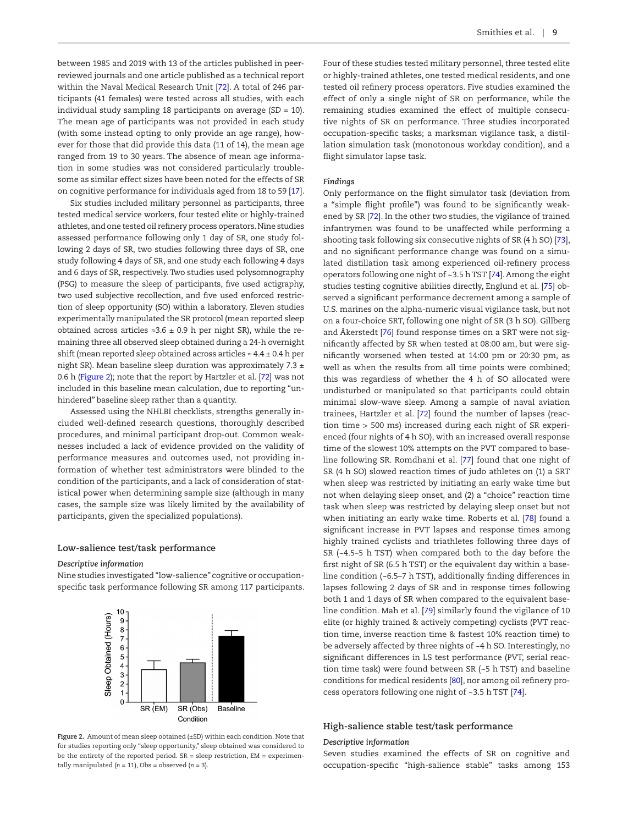between 1985 and 2019 with 13 of the articles published in peerreviewed journals and one article published as a technical report within the Naval Medical Research Unit [[72](#page-14-5)]. A total of 246 participants (41 females) were tested across all studies, with each individual study sampling 18 participants on average (*SD* = 10). The mean age of participants was not provided in each study (with some instead opting to only provide an age range), however for those that did provide this data (11 of 14), the mean age ranged from 19 to 30 years. The absence of mean age information in some studies was not considered particularly troublesome as similar effect sizes have been noted for the effects of SR on cognitive performance for individuals aged from 18 to 59 [\[17\]](#page-12-19).

Six studies included military personnel as participants, three tested medical service workers, four tested elite or highly-trained athletes, and one tested oil refinery process operators. Nine studies assessed performance following only 1 day of SR, one study following 2 days of SR, two studies following three days of SR, one study following 4 days of SR, and one study each following 4 days and 6 days of SR, respectively. Two studies used polysomnography (PSG) to measure the sleep of participants, five used actigraphy, two used subjective recollection, and five used enforced restriction of sleep opportunity (SO) within a laboratory. Eleven studies experimentally manipulated the SR protocol (mean reported sleep obtained across articles  $≈3.6 ± 0.9$  h per night SR), while the remaining three all observed sleep obtained during a 24-h overnight shift (mean reported sleep obtained across articles  $\approx 4.4 \pm 0.4$  h per night SR). Mean baseline sleep duration was approximately 7.3  $\pm$ 0.6 h [\(Figure 2\)](#page-8-0); note that the report by Hartzler et al. [[72\]](#page-14-5) was not included in this baseline mean calculation, due to reporting "unhindered" baseline sleep rather than a quantity.

Assessed using the NHLBI checklists, strengths generally included well-defined research questions, thoroughly described procedures, and minimal participant drop-out. Common weaknesses included a lack of evidence provided on the validity of performance measures and outcomes used, not providing information of whether test administrators were blinded to the condition of the participants, and a lack of consideration of statistical power when determining sample size (although in many cases, the sample size was likely limited by the availability of participants, given the specialized populations).

#### **Low-salience test/task performance**

### *Descriptive information*

Nine studies investigated "low-salience" cognitive or occupationspecific task performance following SR among 117 participants.



<span id="page-8-0"></span>**Figure 2.** Amount of mean sleep obtained (±*SD*) within each condition. Note that for studies reporting only "sleep opportunity," sleep obtained was considered to be the entirety of the reported period.  $SR = sleep$  restriction,  $EM = experiment$ tally manipulated  $(n = 11)$ , Obs = observed  $(n = 3)$ .

Four of these studies tested military personnel, three tested elite or highly-trained athletes, one tested medical residents, and one tested oil refinery process operators. Five studies examined the effect of only a single night of SR on performance, while the remaining studies examined the effect of multiple consecutive nights of SR on performance. Three studies incorporated occupation-specific tasks; a marksman vigilance task, a distillation simulation task (monotonous workday condition), and a flight simulator lapse task.

#### *Findings*

Only performance on the flight simulator task (deviation from a "simple flight profile") was found to be significantly weakened by SR [[72](#page-14-5)]. In the other two studies, the vigilance of trained infantrymen was found to be unaffected while performing a shooting task following six consecutive nights of SR (4 h SO) [\[73\]](#page-14-6), and no significant performance change was found on a simulated distillation task among experienced oil-refinery process operators following one night of ~3.5 h TST [\[74](#page-14-7)]. Among the eight studies testing cognitive abilities directly, Englund et al. [[75](#page-14-8)] observed a significant performance decrement among a sample of U.S. marines on the alpha-numeric visual vigilance task, but not on a four-choice SRT, following one night of SR (3 h SO). Gillberg and Åkerstedt [\[76](#page-14-9)] found response times on a SRT were not significantly affected by SR when tested at 08:00 am, but were significantly worsened when tested at 14:00 pm or 20:30 pm, as well as when the results from all time points were combined; this was regardless of whether the 4 h of SO allocated were undisturbed or manipulated so that participants could obtain minimal slow-wave sleep. Among a sample of naval aviation trainees, Hartzler et al. [\[72](#page-14-5)] found the number of lapses (reaction time > 500 ms) increased during each night of SR experienced (four nights of 4 h SO), with an increased overall response time of the slowest 10% attempts on the PVT compared to baseline following SR. Romdhani et al. [[77](#page-14-10)] found that one night of SR (4 h SO) slowed reaction times of judo athletes on (1) a SRT when sleep was restricted by initiating an early wake time but not when delaying sleep onset, and (2) a "choice" reaction time task when sleep was restricted by delaying sleep onset but not when initiating an early wake time. Roberts et al. [\[78\]](#page-14-11) found a significant increase in PVT lapses and response times among highly trained cyclists and triathletes following three days of SR (~4.5–5 h TST) when compared both to the day before the first night of SR (6.5 h TST) or the equivalent day within a baseline condition (~6.5–7 h TST), additionally finding differences in lapses following 2 days of SR and in response times following both 1 and 1 days of SR when compared to the equivalent baseline condition. Mah et al. [\[79\]](#page-14-12) similarly found the vigilance of 10 elite (or highly trained & actively competing) cyclists (PVT reaction time, inverse reaction time & fastest 10% reaction time) to be adversely affected by three nights of ~4 h SO. Interestingly, no significant differences in LS test performance (PVT, serial reaction time task) were found between SR (~5 h TST) and baseline conditions for medical residents [[80\]](#page-14-13), nor among oil refinery process operators following one night of ~3.5 h TST [[74](#page-14-7)].

# **High-salience stable test/task performance**

#### *Descriptive information*

Seven studies examined the effects of SR on cognitive and occupation-specific "high-salience stable" tasks among 153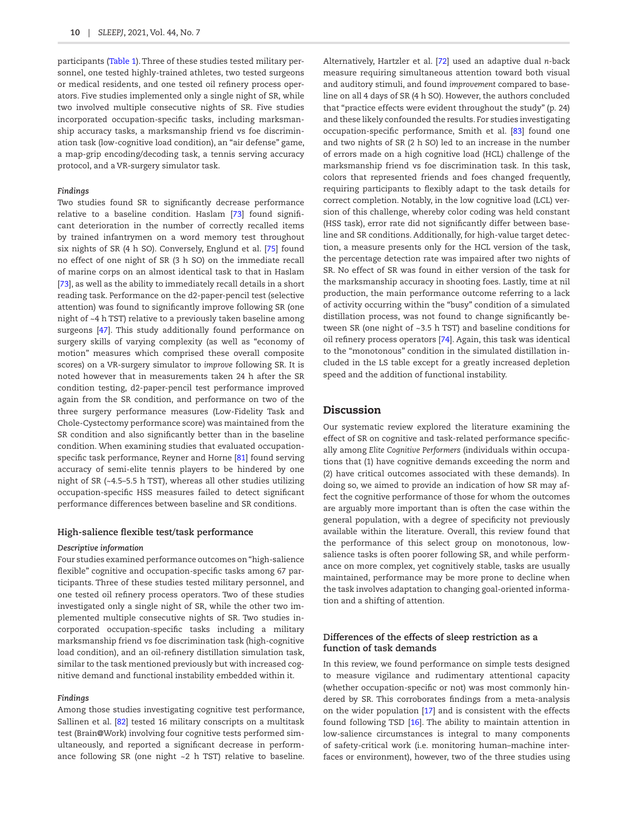participants [\(Table 1](#page-5-0)). Three of these studies tested military personnel, one tested highly-trained athletes, two tested surgeons or medical residents, and one tested oil refinery process operators. Five studies implemented only a single night of SR, while two involved multiple consecutive nights of SR. Five studies incorporated occupation-specific tasks, including marksmanship accuracy tasks, a marksmanship friend vs foe discrimination task (low-cognitive load condition), an "air defense" game, a map-grip encoding/decoding task, a tennis serving accuracy protocol, and a VR-surgery simulator task.

#### *Findings*

Two studies found SR to significantly decrease performance relative to a baseline condition. Haslam [\[73](#page-14-6)] found significant deterioration in the number of correctly recalled items by trained infantrymen on a word memory test throughout six nights of SR (4 h SO). Conversely, Englund et al. [\[75\]](#page-14-8) found no effect of one night of SR (3 h SO) on the immediate recall of marine corps on an almost identical task to that in Haslam [[73](#page-14-6)], as well as the ability to immediately recall details in a short reading task. Performance on the d2-paper-pencil test (selective attention) was found to significantly improve following SR (one night of ~4 h TST) relative to a previously taken baseline among surgeons [\[47](#page-13-21)]. This study additionally found performance on surgery skills of varying complexity (as well as "economy of motion" measures which comprised these overall composite scores) on a VR-surgery simulator to *improve* following SR. It is noted however that in measurements taken 24 h after the SR condition testing, d2-paper-pencil test performance improved again from the SR condition, and performance on two of the three surgery performance measures (Low-Fidelity Task and Chole-Cystectomy performance score) was maintained from the SR condition and also significantly better than in the baseline condition. When examining studies that evaluated occupationspecific task performance, Reyner and Horne [[81](#page-14-14)] found serving accuracy of semi-elite tennis players to be hindered by one night of SR (~4.5–5.5 h TST), whereas all other studies utilizing occupation-specific HSS measures failed to detect significant performance differences between baseline and SR conditions.

#### **High-salience flexible test/task performance**

## *Descriptive information*

Four studies examined performance outcomes on "high-salience flexible" cognitive and occupation-specific tasks among 67 participants. Three of these studies tested military personnel, and one tested oil refinery process operators. Two of these studies investigated only a single night of SR, while the other two implemented multiple consecutive nights of SR. Two studies incorporated occupation-specific tasks including a military marksmanship friend vs foe discrimination task (high-cognitive load condition), and an oil-refinery distillation simulation task, similar to the task mentioned previously but with increased cognitive demand and functional instability embedded within it.

## *Findings*

Among those studies investigating cognitive test performance, Sallinen et al. [\[82](#page-14-15)] tested 16 military conscripts on a multitask test (Brain@Work) involving four cognitive tests performed simultaneously, and reported a significant decrease in performance following SR (one night ~2 h TST) relative to baseline.

Alternatively, Hartzler et al. [[72](#page-14-5)] used an adaptive dual *n*-back measure requiring simultaneous attention toward both visual and auditory stimuli, and found *improvement* compared to baseline on all 4 days of SR (4 h SO). However, the authors concluded that "practice effects were evident throughout the study" (p. 24) and these likely confounded the results. For studies investigating occupation-specific performance, Smith et al. [[83](#page-14-16)] found one and two nights of SR (2 h SO) led to an increase in the number of errors made on a high cognitive load (HCL) challenge of the marksmanship friend vs foe discrimination task. In this task, colors that represented friends and foes changed frequently, requiring participants to flexibly adapt to the task details for correct completion. Notably, in the low cognitive load (LCL) version of this challenge, whereby color coding was held constant (HSS task), error rate did not significantly differ between baseline and SR conditions. Additionally, for high-value target detection, a measure presents only for the HCL version of the task, the percentage detection rate was impaired after two nights of SR. No effect of SR was found in either version of the task for the marksmanship accuracy in shooting foes. Lastly, time at nil production, the main performance outcome referring to a lack of activity occurring within the "busy" condition of a simulated distillation process, was not found to change significantly between SR (one night of ~3.5 h TST) and baseline conditions for oil refinery process operators [\[74\]](#page-14-7). Again, this task was identical to the "monotonous" condition in the simulated distillation included in the LS table except for a greatly increased depletion speed and the addition of functional instability.

## Discussion

Our systematic review explored the literature examining the effect of SR on cognitive and task-related performance specifically among *Elite Cognitive Performers* (individuals within occupations that (1) have cognitive demands exceeding the norm and (2) have critical outcomes associated with these demands). In doing so, we aimed to provide an indication of how SR may affect the cognitive performance of those for whom the outcomes are arguably more important than is often the case within the general population, with a degree of specificity not previously available within the literature. Overall, this review found that the performance of this select group on monotonous, lowsalience tasks is often poorer following SR, and while performance on more complex, yet cognitively stable, tasks are usually maintained, performance may be more prone to decline when the task involves adaptation to changing goal-oriented information and a shifting of attention.

## **Differences of the effects of sleep restriction as a function of task demands**

In this review, we found performance on simple tests designed to measure vigilance and rudimentary attentional capacity (whether occupation-specific or not) was most commonly hindered by SR. This corroborates findings from a meta-analysis on the wider population [\[17\]](#page-12-19) and is consistent with the effects found following TSD [[16\]](#page-12-20). The ability to maintain attention in low-salience circumstances is integral to many components of safety-critical work (i.e. monitoring human–machine interfaces or environment), however, two of the three studies using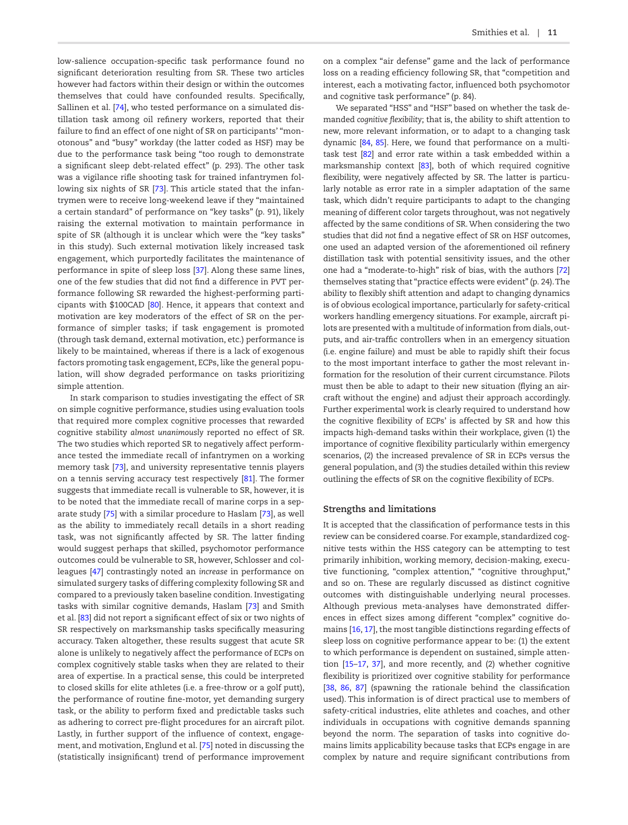low-salience occupation-specific task performance found no significant deterioration resulting from SR. These two articles however had factors within their design or within the outcomes themselves that could have confounded results. Specifically, Sallinen et al. [\[74\]](#page-14-7), who tested performance on a simulated distillation task among oil refinery workers, reported that their failure to find an effect of one night of SR on participants' "monotonous" and "busy" workday (the latter coded as HSF) may be due to the performance task being "too rough to demonstrate a significant sleep debt-related effect" (p. 293). The other task was a vigilance rifle shooting task for trained infantrymen following six nights of SR [[73](#page-14-6)]. This article stated that the infantrymen were to receive long-weekend leave if they "maintained a certain standard" of performance on "key tasks" (p. 91), likely raising the external motivation to maintain performance in spite of SR (although it is unclear which were the "key tasks" in this study). Such external motivation likely increased task engagement, which purportedly facilitates the maintenance of performance in spite of sleep loss [[37\]](#page-13-11). Along these same lines, one of the few studies that did not find a difference in PVT performance following SR rewarded the highest-performing participants with \$100CAD [\[80\]](#page-14-13). Hence, it appears that context and motivation are key moderators of the effect of SR on the performance of simpler tasks; if task engagement is promoted (through task demand, external motivation, etc.) performance is likely to be maintained, whereas if there is a lack of exogenous factors promoting task engagement, ECPs, like the general population, will show degraded performance on tasks prioritizing simple attention.

In stark comparison to studies investigating the effect of SR on simple cognitive performance, studies using evaluation tools that required more complex cognitive processes that rewarded cognitive stability *almost unanimously* reported no effect of SR. The two studies which reported SR to negatively affect performance tested the immediate recall of infantrymen on a working memory task [[73](#page-14-6)], and university representative tennis players on a tennis serving accuracy test respectively [\[81\]](#page-14-14). The former suggests that immediate recall is vulnerable to SR, however, it is to be noted that the immediate recall of marine corps in a separate study [[75\]](#page-14-8) with a similar procedure to Haslam [\[73\]](#page-14-6), as well as the ability to immediately recall details in a short reading task, was not significantly affected by SR. The latter finding would suggest perhaps that skilled, psychomotor performance outcomes could be vulnerable to SR, however, Schlosser and colleagues [[47\]](#page-13-21) contrastingly noted an *increase* in performance on simulated surgery tasks of differing complexity following SR and compared to a previously taken baseline condition. Investigating tasks with similar cognitive demands, Haslam [\[73\]](#page-14-6) and Smith et al. [\[83\]](#page-14-16) did not report a significant effect of six or two nights of SR respectively on marksmanship tasks specifically measuring accuracy. Taken altogether, these results suggest that acute SR alone is unlikely to negatively affect the performance of ECPs on complex cognitively stable tasks when they are related to their area of expertise. In a practical sense, this could be interpreted to closed skills for elite athletes (i.e. a free-throw or a golf putt), the performance of routine fine-motor, yet demanding surgery task, or the ability to perform fixed and predictable tasks such as adhering to correct pre-flight procedures for an aircraft pilot. Lastly, in further support of the influence of context, engagement, and motivation, Englund et al. [\[75\]](#page-14-8) noted in discussing the (statistically insignificant) trend of performance improvement on a complex "air defense" game and the lack of performance loss on a reading efficiency following SR, that "competition and interest, each a motivating factor, influenced both psychomotor and cognitive task performance" (p. 84).

We separated "HSS" and "HSF" based on whether the task demanded *cognitive flexibility*; that is, the ability to shift attention to new, more relevant information, or to adapt to a changing task dynamic [\[84,](#page-14-17) [85\]](#page-14-18). Here, we found that performance on a multitask test [\[82\]](#page-14-15) and error rate within a task embedded within a marksmanship context [\[83](#page-14-16)], both of which required cognitive flexibility, were negatively affected by SR. The latter is particularly notable as error rate in a simpler adaptation of the same task, which didn't require participants to adapt to the changing meaning of different color targets throughout, was not negatively affected by the same conditions of SR. When considering the two studies that did *not* find a negative effect of SR on HSF outcomes, one used an adapted version of the aforementioned oil refinery distillation task with potential sensitivity issues, and the other one had a "moderate-to-high" risk of bias, with the authors [\[72](#page-14-5)] themselves stating that "practice effects were evident" (p. 24). The ability to flexibly shift attention and adapt to changing dynamics is of obvious ecological importance, particularly for safety-critical workers handling emergency situations. For example, aircraft pilots are presented with a multitude of information from dials, outputs, and air-traffic controllers when in an emergency situation (i.e. engine failure) and must be able to rapidly shift their focus to the most important interface to gather the most relevant information for the resolution of their current circumstance. Pilots must then be able to adapt to their new situation (flying an aircraft without the engine) and adjust their approach accordingly. Further experimental work is clearly required to understand how the cognitive flexibility of ECPs' is affected by SR and how this impacts high-demand tasks within their workplace, given (1) the importance of cognitive flexibility particularly within emergency scenarios, (2) the increased prevalence of SR in ECPs versus the general population, and (3) the studies detailed within this review outlining the effects of SR on the cognitive flexibility of ECPs.

#### **Strengths and limitations**

It is accepted that the classification of performance tests in this review can be considered coarse. For example, standardized cognitive tests within the HSS category can be attempting to test primarily inhibition, working memory, decision-making, executive functioning, "complex attention," "cognitive throughput," and so on. These are regularly discussed as distinct cognitive outcomes with distinguishable underlying neural processes. Although previous meta-analyses have demonstrated differences in effect sizes among different "complex" cognitive domains [[16](#page-12-20), [17\]](#page-12-19), the most tangible distinctions regarding effects of sleep loss on cognitive performance appear to be: (1) the extent to which performance is dependent on sustained, simple attention [\[15–](#page-12-12)[17,](#page-12-19) [37](#page-13-11)], and more recently, and (2) whether cognitive flexibility is prioritized over cognitive stability for performance [\[38](#page-13-12), [86,](#page-14-19) [87\]](#page-14-20) (spawning the rationale behind the classification used). This information is of direct practical use to members of safety-critical industries, elite athletes and coaches, and other individuals in occupations with cognitive demands spanning beyond the norm. The separation of tasks into cognitive domains limits applicability because tasks that ECPs engage in are complex by nature and require significant contributions from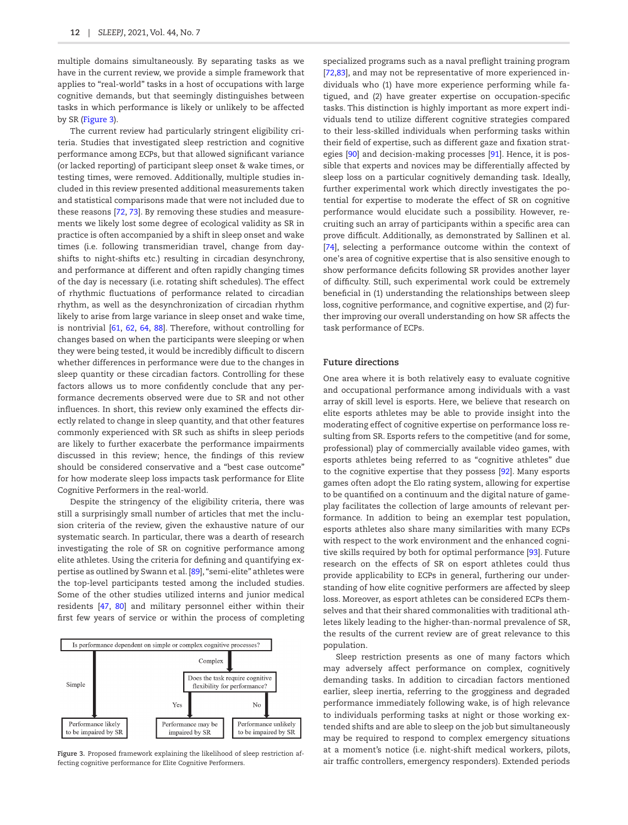multiple domains simultaneously. By separating tasks as we have in the current review, we provide a simple framework that applies to "real-world" tasks in a host of occupations with large cognitive demands, but that seemingly distinguishes between tasks in which performance is likely or unlikely to be affected by SR ([Figure 3\)](#page-11-0).

The current review had particularly stringent eligibility criteria. Studies that investigated sleep restriction and cognitive performance among ECPs, but that allowed significant variance (or lacked reporting) of participant sleep onset & wake times, or testing times, were removed. Additionally, multiple studies included in this review presented additional measurements taken and statistical comparisons made that were not included due to these reasons [\[72,](#page-14-5) [73](#page-14-6)]. By removing these studies and measurements we likely lost some degree of ecological validity as SR in practice is often accompanied by a shift in sleep onset and wake times (i.e. following transmeridian travel, change from dayshifts to night-shifts etc.) resulting in circadian desynchrony, and performance at different and often rapidly changing times of the day is necessary (i.e. rotating shift schedules). The effect of rhythmic fluctuations of performance related to circadian rhythm, as well as the desynchronization of circadian rhythm likely to arise from large variance in sleep onset and wake time, is nontrivial [[61](#page-13-33), [62,](#page-13-34) [64](#page-13-36), [88\]](#page-14-21). Therefore, without controlling for changes based on when the participants were sleeping or when they were being tested, it would be incredibly difficult to discern whether differences in performance were due to the changes in sleep quantity or these circadian factors. Controlling for these factors allows us to more confidently conclude that any performance decrements observed were due to SR and not other influences. In short, this review only examined the effects directly related to change in sleep quantity, and that other features commonly experienced with SR such as shifts in sleep periods are likely to further exacerbate the performance impairments discussed in this review; hence, the findings of this review should be considered conservative and a "best case outcome" for how moderate sleep loss impacts task performance for Elite Cognitive Performers in the real-world.

Despite the stringency of the eligibility criteria, there was still a surprisingly small number of articles that met the inclusion criteria of the review, given the exhaustive nature of our systematic search. In particular, there was a dearth of research investigating the role of SR on cognitive performance among elite athletes. Using the criteria for defining and quantifying expertise as outlined by Swann et al. [\[89\]](#page-14-22), "semi-elite" athletes were the top-level participants tested among the included studies. Some of the other studies utilized interns and junior medical residents [\[47](#page-13-21), [80\]](#page-14-13) and military personnel either within their first few years of service or within the process of completing



<span id="page-11-0"></span>**Figure 3.** Proposed framework explaining the likelihood of sleep restriction affecting cognitive performance for Elite Cognitive Performers.

specialized programs such as a naval preflight training program [\[72](#page-14-5),[83\]](#page-14-16), and may not be representative of more experienced individuals who (1) have more experience performing while fatigued, and (2) have greater expertise on occupation-specific tasks. This distinction is highly important as more expert individuals tend to utilize different cognitive strategies compared to their less-skilled individuals when performing tasks within their field of expertise, such as different gaze and fixation strategies [\[90\]](#page-14-23) and decision-making processes [\[91\]](#page-14-24). Hence, it is possible that experts and novices may be differentially affected by sleep loss on a particular cognitively demanding task. Ideally, further experimental work which directly investigates the potential for expertise to moderate the effect of SR on cognitive performance would elucidate such a possibility. However, recruiting such an array of participants within a specific area can prove difficult. Additionally, as demonstrated by Sallinen et al. [\[74](#page-14-7)], selecting a performance outcome within the context of one's area of cognitive expertise that is also sensitive enough to show performance deficits following SR provides another layer of difficulty. Still, such experimental work could be extremely beneficial in (1) understanding the relationships between sleep loss, cognitive performance, and cognitive expertise, and (2) further improving our overall understanding on how SR affects the task performance of ECPs.

#### **Future directions**

One area where it is both relatively easy to evaluate cognitive and occupational performance among individuals with a vast array of skill level is esports. Here, we believe that research on elite esports athletes may be able to provide insight into the moderating effect of cognitive expertise on performance loss resulting from SR. Esports refers to the competitive (and for some, professional) play of commercially available video games, with esports athletes being referred to as "cognitive athletes" due to the cognitive expertise that they possess [\[92\]](#page-14-25). Many esports games often adopt the Elo rating system, allowing for expertise to be quantified on a continuum and the digital nature of gameplay facilitates the collection of large amounts of relevant performance. In addition to being an exemplar test population, esports athletes also share many similarities with many ECPs with respect to the work environment and the enhanced cognitive skills required by both for optimal performance [\[93](#page-14-26)]. Future research on the effects of SR on esport athletes could thus provide applicability to ECPs in general, furthering our understanding of how elite cognitive performers are affected by sleep loss. Moreover, as esport athletes can be considered ECPs themselves and that their shared commonalities with traditional athletes likely leading to the higher-than-normal prevalence of SR, the results of the current review are of great relevance to this population.

Sleep restriction presents as one of many factors which may adversely affect performance on complex, cognitively demanding tasks. In addition to circadian factors mentioned earlier, sleep inertia, referring to the grogginess and degraded performance immediately following wake, is of high relevance to individuals performing tasks at night or those working extended shifts and are able to sleep on the job but simultaneously may be required to respond to complex emergency situations at a moment's notice (i.e. night-shift medical workers, pilots, air traffic controllers, emergency responders). Extended periods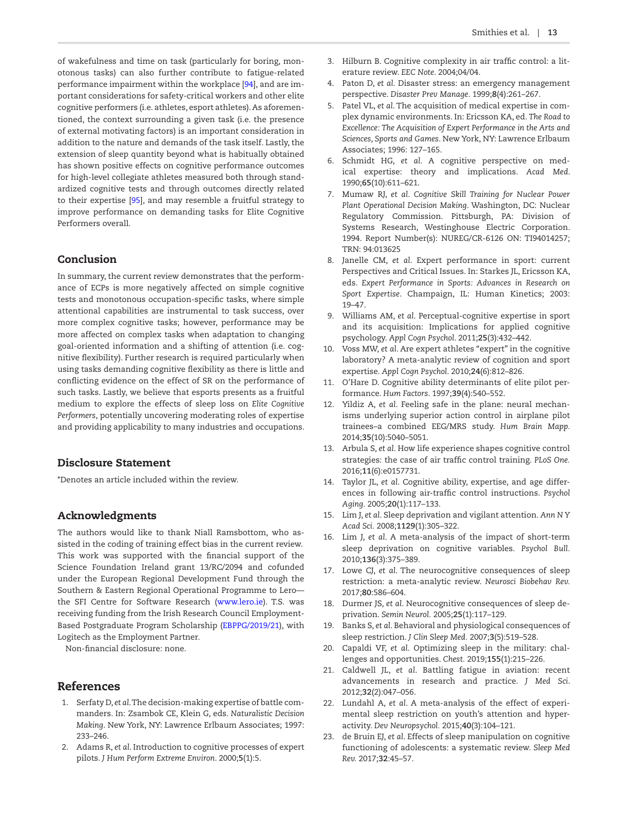of wakefulness and time on task (particularly for boring, monotonous tasks) can also further contribute to fatigue-related performance impairment within the workplace [\[94](#page-14-27)], and are important considerations for safety-critical workers and other elite cognitive performers (i.e. athletes, esport athletes). As aforementioned, the context surrounding a given task (i.e. the presence of external motivating factors) is an important consideration in addition to the nature and demands of the task itself. Lastly, the extension of sleep quantity beyond what is habitually obtained has shown positive effects on cognitive performance outcomes for high-level collegiate athletes measured both through standardized cognitive tests and through outcomes directly related to their expertise [[95](#page-14-28)], and may resemble a fruitful strategy to improve performance on demanding tasks for Elite Cognitive Performers overall.

# Conclusion

In summary, the current review demonstrates that the performance of ECPs is more negatively affected on simple cognitive tests and monotonous occupation-specific tasks, where simple attentional capabilities are instrumental to task success, over more complex cognitive tasks; however, performance may be more affected on complex tasks when adaptation to changing goal-oriented information and a shifting of attention (i.e. cognitive flexibility). Further research is required particularly when using tasks demanding cognitive flexibility as there is little and conflicting evidence on the effect of SR on the performance of such tasks. Lastly, we believe that esports presents as a fruitful medium to explore the effects of sleep loss on *Elite Cognitive Performers*, potentially uncovering moderating roles of expertise and providing applicability to many industries and occupations.

# Disclosure Statement

\*Denotes an article included within the review.

# Acknowledgments

The authors would like to thank Niall Ramsbottom, who assisted in the coding of training effect bias in the current review. This work was supported with the financial support of the Science Foundation Ireland grant 13/RC/2094 and cofunded under the European Regional Development Fund through the Southern & Eastern Regional Operational Programme to Lero the SFI Centre for Software Research [\(www.lero.ie\)](http://www.lero.ie). T.S. was receiving funding from the Irish Research Council Employment-Based Postgraduate Program Scholarship [\(EBPPG/2019/21](http://EBPPG/2019/21)), with Logitech as the Employment Partner.

Non-financial disclosure: none.

# References

- <span id="page-12-0"></span>1. Serfaty D, *et al*. The decision-making expertise of battle commanders. In: Zsambok CE, Klein G, eds. *Naturalistic Decision Making*. New York, NY: Lawrence Erlbaum Associates; 1997: 233–246.
- <span id="page-12-1"></span>2. Adams R, *et al*. Introduction to cognitive processes of expert pilots. *J Hum Perform Extreme Environ*. 2000;**5**(1):5.
- <span id="page-12-2"></span>3. Hilburn B. Cognitive complexity in air traffic control: a literature review. *EEC Note*. 2004;04/04.
- <span id="page-12-3"></span>4. Paton D, *et al*. Disaster stress: an emergency management perspective. *Disaster Prev Manage*. 1999;**8**(4):261–267.
- <span id="page-12-4"></span>5. Patel VL, *et al*. The acquisition of medical expertise in complex dynamic environments. In: Ericsson KA, ed. *The Road to Excellence: The Acquisition of Expert Performance in the Arts and Sciences, Sports and Games*. New York, NY: Lawrence Erlbaum Associates; 1996: 127–165.
- <span id="page-12-5"></span>6. Schmidt HG, *et al*. A cognitive perspective on medical expertise: theory and implications. *Acad Med*. 1990;**65**(10):611–621.
- <span id="page-12-6"></span>7. Mumaw RJ, *et al*. *Cognitive Skill Training for Nuclear Power Plant Operational Decision Making*. Washington, DC: Nuclear Regulatory Commission. Pittsburgh, PA: Division of Systems Research, Westinghouse Electric Corporation. 1994. Report Number(s): NUREG/CR-6126 ON: TI94014257; TRN: 94:013625
- <span id="page-12-7"></span>8. Janelle CM, *et al*. Expert performance in sport: current Perspectives and Critical Issues. In: Starkes JL, Ericsson KA, eds. *Expert Performance in Sports: Advances in Research on Sport Expertise*. Champaign, IL: Human Kinetics; 2003: 19–47.
- <span id="page-12-8"></span>9. Williams AM, *et al*. Perceptual-cognitive expertise in sport and its acquisition: Implications for applied cognitive psychology. *Appl Cogn Psychol*. 2011;**25**(3):432–442.
- <span id="page-12-9"></span>10. Voss MW, *et al*. Are expert athletes "expert" in the cognitive laboratory? A meta-analytic review of cognition and sport expertise. *Appl Cogn Psychol*. 2010;**24**(6):812–826.
- 11. O'Hare D. Cognitive ability determinants of elite pilot performance. *Hum Factors*. 1997;**39**(4):540–552.
- 12. Yildiz A, *et al*. Feeling safe in the plane: neural mechanisms underlying superior action control in airplane pilot trainees–a combined EEG/MRS study. *Hum Brain Mapp.* 2014;**35**(10):5040–5051.
- <span id="page-12-10"></span>13. Arbula S, *et al*. How life experience shapes cognitive control strategies: the case of air traffic control training. *PLoS One.* 2016;**11**(6):e0157731.
- <span id="page-12-11"></span>14. Taylor JL, *et al*. Cognitive ability, expertise, and age differences in following air-traffic control instructions. *Psychol Aging.* 2005;**20**(1):117–133.
- <span id="page-12-12"></span>15. Lim J, *et al*. Sleep deprivation and vigilant attention. *Ann N Y Acad Sci.* 2008;**1129**(1):305–322.
- <span id="page-12-20"></span>16. Lim J, *et al*. A meta-analysis of the impact of short-term sleep deprivation on cognitive variables. *Psychol Bull.* 2010;**136**(3):375–389.
- <span id="page-12-19"></span>17. Lowe CJ, *et al*. The neurocognitive consequences of sleep restriction: a meta-analytic review. *Neurosci Biobehav Rev.* 2017;**80**:586–604.
- <span id="page-12-13"></span>18. Durmer JS, *et al*. Neurocognitive consequences of sleep deprivation. *Semin Neurol.* 2005;**25**(1):117–129.
- <span id="page-12-14"></span>19. Banks S, *et al*. Behavioral and physiological consequences of sleep restriction. *J Clin Sleep Med.* 2007;**3**(5):519–528.
- <span id="page-12-15"></span>20. Capaldi VF, *et al*. Optimizing sleep in the military: challenges and opportunities. *Chest.* 2019;**155**(1):215–226.
- <span id="page-12-16"></span>21. Caldwell JL, *et al*. Battling fatigue in aviation: recent advancements in research and practice. *J Med Sci*. 2012;**32**(2):047–056.
- <span id="page-12-17"></span>22. Lundahl A, *et al*. A meta-analysis of the effect of experimental sleep restriction on youth's attention and hyperactivity. *Dev Neuropsychol.* 2015;**40**(3):104–121.
- <span id="page-12-18"></span>23. de Bruin EJ, *et al*. Effects of sleep manipulation on cognitive functioning of adolescents: a systematic review. *Sleep Med Rev.* 2017;**32**:45–57.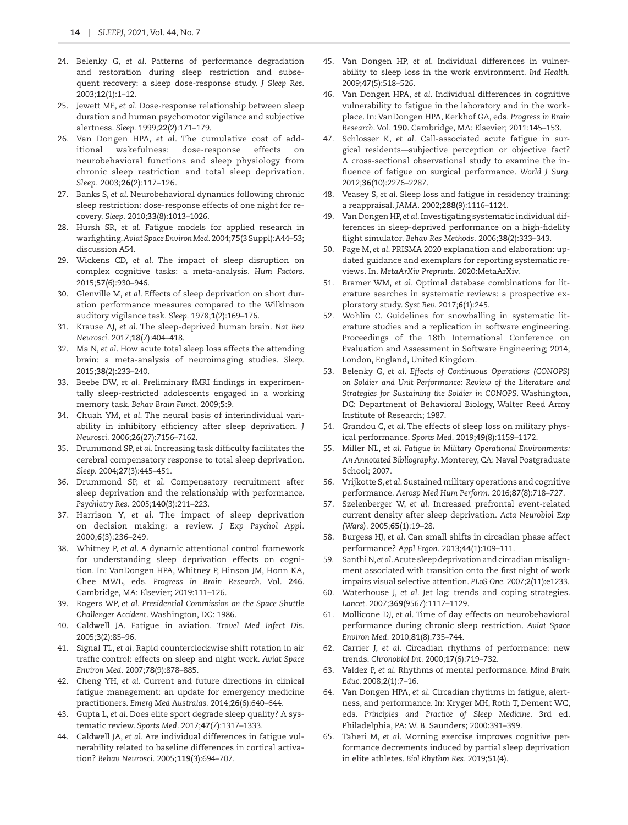- <span id="page-13-0"></span>24. Belenky G, *et al*. Patterns of performance degradation and restoration during sleep restriction and subsequent recovery: a sleep dose-response study. *J Sleep Res.* 2003;**12**(1):1–12.
- <span id="page-13-1"></span>25. Jewett ME, *et al*. Dose-response relationship between sleep duration and human psychomotor vigilance and subjective alertness. *Sleep.* 1999;**22**(2):171–179.
- <span id="page-13-2"></span>26. Van Dongen HPA, *et al*. The cumulative cost of additional wakefulness: dose-response effects on neurobehavioral functions and sleep physiology from chronic sleep restriction and total sleep deprivation. *Sleep*. 2003;**26**(2):117–126.
- <span id="page-13-3"></span>27. Banks S, *et al*. Neurobehavioral dynamics following chronic sleep restriction: dose-response effects of one night for recovery. *Sleep.* 2010;**33**(8):1013–1026.
- <span id="page-13-4"></span>28. Hursh SR, *et al*. Fatigue models for applied research in warfighting. *Aviat Space Environ Med.* 2004;**75**(3 Suppl):A44–53; discussion A54.
- <span id="page-13-5"></span>29. Wickens CD, *et al*. The impact of sleep disruption on complex cognitive tasks: a meta-analysis. *Hum Factors*. 2015;**57**(6):930–946.
- <span id="page-13-6"></span>30. Glenville M, *et al*. Effects of sleep deprivation on short duration performance measures compared to the Wilkinson auditory vigilance task. *Sleep.* 1978;**1**(2):169–176.
- <span id="page-13-7"></span>31. Krause AJ, *et al*. The sleep-deprived human brain. *Nat Rev Neurosci.* 2017;**18**(7):404–418.
- <span id="page-13-8"></span>32. Ma N, *et al*. How acute total sleep loss affects the attending brain: a meta-analysis of neuroimaging studies. *Sleep.* 2015;**38**(2):233–240.
- <span id="page-13-9"></span>33. Beebe DW, *et al*. Preliminary fMRI findings in experimentally sleep-restricted adolescents engaged in a working memory task. *Behav Brain Funct.* 2009;**5**:9.
- 34. Chuah YM, *et al*. The neural basis of interindividual variability in inhibitory efficiency after sleep deprivation. *J Neurosci.* 2006;**26**(27):7156–7162.
- 35. Drummond SP, *et al*. Increasing task difficulty facilitates the cerebral compensatory response to total sleep deprivation. *Sleep.* 2004;**27**(3):445–451.
- <span id="page-13-10"></span>36. Drummond SP, *et al*. Compensatory recruitment after sleep deprivation and the relationship with performance. *Psychiatry Res.* 2005;**140**(3):211–223.
- <span id="page-13-11"></span>37. Harrison Y, *et al*. The impact of sleep deprivation on decision making: a review. *J Exp Psychol Appl.* 2000;**6**(3):236–249.
- <span id="page-13-12"></span>38. Whitney P, *et al*. A dynamic attentional control framework for understanding sleep deprivation effects on cognition. In: VanDongen HPA, Whitney P, Hinson JM, Honn KA, Chee MWL, eds. *Progress in Brain Research*. Vol. **246**. Cambridge, MA: Elsevier; 2019:111–126.
- <span id="page-13-13"></span>39. Rogers WP, *et al*. *Presidential Commission on the Space Shuttle Challenger Accident*. Washington, DC: 1986.
- <span id="page-13-14"></span>40. Caldwell JA. Fatigue in aviation. *Travel Med Infect Dis.* 2005;**3**(2):85–96.
- <span id="page-13-15"></span>41. Signal TL, *et al*. Rapid counterclockwise shift rotation in air traffic control: effects on sleep and night work. *Aviat Space Environ Med.* 2007;**78**(9):878–885.
- <span id="page-13-16"></span>42. Cheng YH, *et al*. Current and future directions in clinical fatigue management: an update for emergency medicine practitioners. *Emerg Med Australas.* 2014;**26**(6):640–644.
- <span id="page-13-17"></span>43. Gupta L, *et al*. Does elite sport degrade sleep quality? A systematic review. *Sports Med*. 2017;**47**(7):1317–1333.
- <span id="page-13-18"></span>44. Caldwell JA, *et al*. Are individual differences in fatigue vulnerability related to baseline differences in cortical activation? *Behav Neurosci.* 2005;**119**(3):694–707.
- <span id="page-13-19"></span>45. Van Dongen HP, *et al*. Individual differences in vulnerability to sleep loss in the work environment. *Ind Health.* 2009;**47**(5):518–526.
- <span id="page-13-20"></span>46. Van Dongen HPA, *et al*. Individual differences in cognitive vulnerability to fatigue in the laboratory and in the workplace. In: VanDongen HPA, Kerkhof GA, eds. *Progress in Brain Research*. Vol. **190**. Cambridge, MA: Elsevier; 2011:145–153.
- <span id="page-13-21"></span>47. Schlosser K, *et al*. Call-associated acute fatigue in surgical residents—subjective perception or objective fact? A cross-sectional observational study to examine the influence of fatigue on surgical performance. *World J Surg.* 2012;**36**(10):2276–2287.
- <span id="page-13-22"></span>48. Veasey S, *et al*. Sleep loss and fatigue in residency training: a reappraisal. *JAMA.* 2002;**288**(9):1116–1124.
- <span id="page-13-23"></span>49. Van Dongen HP, *et al*. Investigating systematic individual differences in sleep-deprived performance on a high-fidelity flight simulator. *Behav Res Methods.* 2006;**38**(2):333–343.
- <span id="page-13-24"></span>50. Page M, *et al*. PRISMA 2020 explanation and elaboration: updated guidance and exemplars for reporting systematic reviews. In. *MetaArXiv Preprints*. 2020:MetaArXiv.
- <span id="page-13-25"></span>51. Bramer WM, *et al*. Optimal database combinations for literature searches in systematic reviews: a prospective exploratory study. *Syst Rev.* 2017;**6**(1):245.
- <span id="page-13-26"></span>52. Wohlin C. Guidelines for snowballing in systematic literature studies and a replication in software engineering. Proceedings of the 18th International Conference on Evaluation and Assessment in Software Engineering; 2014; London, England, United Kingdom.
- <span id="page-13-27"></span>53. Belenky G, *et al*. *Effects of Continuous Operations (CONOPS) on Soldier and Unit Performance: Review of the Literature and Strategies for Sustaining the Soldier in CONOPS*. Washington, DC: Department of Behavioral Biology, Walter Reed Army Institute of Research; 1987.
- 54. Grandou C, *et al*. The effects of sleep loss on military physical performance. *Sports Med.* 2019;**49**(8):1159–1172.
- 55. Miller NL, *et al*. *Fatigue in Military Operational Environments: An Annotated Bibliography*. Monterey, CA: Naval Postgraduate School; 2007.
- <span id="page-13-28"></span>56. Vrijkotte S, *et al*. Sustained military operations and cognitive performance. *Aerosp Med Hum Perform.* 2016;**87**(8):718–727.
- <span id="page-13-29"></span>57. Szelenberger W, *et al*. Increased prefrontal event-related current density after sleep deprivation. *Acta Neurobiol Exp (Wars).* 2005;**65**(1):19–28.
- <span id="page-13-30"></span>58. Burgess HJ, *et al*. Can small shifts in circadian phase affect performance? *Appl Ergon.* 2013;**44**(1):109–111.
- <span id="page-13-31"></span>59. Santhi N, *et al*. Acute sleep deprivation and circadian misalignment associated with transition onto the first night of work impairs visual selective attention. *PLoS One.* 2007;**2**(11):e1233.
- <span id="page-13-32"></span>60. Waterhouse J, *et al*. Jet lag: trends and coping strategies. *Lancet.* 2007;**369**(9567):1117–1129.
- <span id="page-13-33"></span>61. Mollicone DJ, *et al*. Time of day effects on neurobehavioral performance during chronic sleep restriction. *Aviat Space Environ Med.* 2010;**81**(8):735–744.
- <span id="page-13-34"></span>62. Carrier J, *et al*. Circadian rhythms of performance: new trends. *Chronobiol Int.* 2000;**17**(6):719–732.
- <span id="page-13-35"></span>63. Valdez P, *et al*. Rhythms of mental performance. *Mind Brain Educ*. 2008;**2**(1):7–16.
- <span id="page-13-36"></span>64. Van Dongen HPA, *et al*. Circadian rhythms in fatigue, alertness, and performance. In: Kryger MH, Roth T, Dement WC, eds. *Principles and Practice of Sleep Medicine*. 3rd ed. Philadelphia, PA: W. B. Saunders; 2000:391–399.
- <span id="page-13-37"></span>65. Taheri M, *et al*. Morning exercise improves cognitive performance decrements induced by partial sleep deprivation in elite athletes. *Biol Rhythm Res*. 2019;**51**(4).